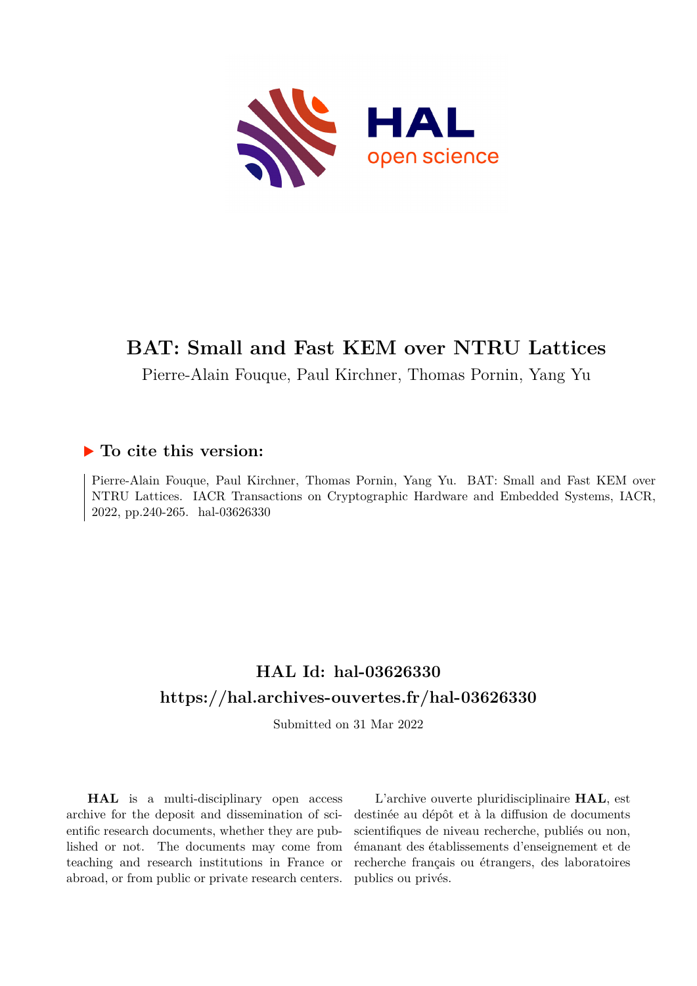

# **BAT: Small and Fast KEM over NTRU Lattices**

Pierre-Alain Fouque, Paul Kirchner, Thomas Pornin, Yang Yu

# **To cite this version:**

Pierre-Alain Fouque, Paul Kirchner, Thomas Pornin, Yang Yu. BAT: Small and Fast KEM over NTRU Lattices. IACR Transactions on Cryptographic Hardware and Embedded Systems, IACR, 2022, pp.240-265. hal-03626330

# **HAL Id: hal-03626330 <https://hal.archives-ouvertes.fr/hal-03626330>**

Submitted on 31 Mar 2022

**HAL** is a multi-disciplinary open access archive for the deposit and dissemination of scientific research documents, whether they are published or not. The documents may come from teaching and research institutions in France or abroad, or from public or private research centers.

L'archive ouverte pluridisciplinaire **HAL**, est destinée au dépôt et à la diffusion de documents scientifiques de niveau recherche, publiés ou non, émanant des établissements d'enseignement et de recherche français ou étrangers, des laboratoires publics ou privés.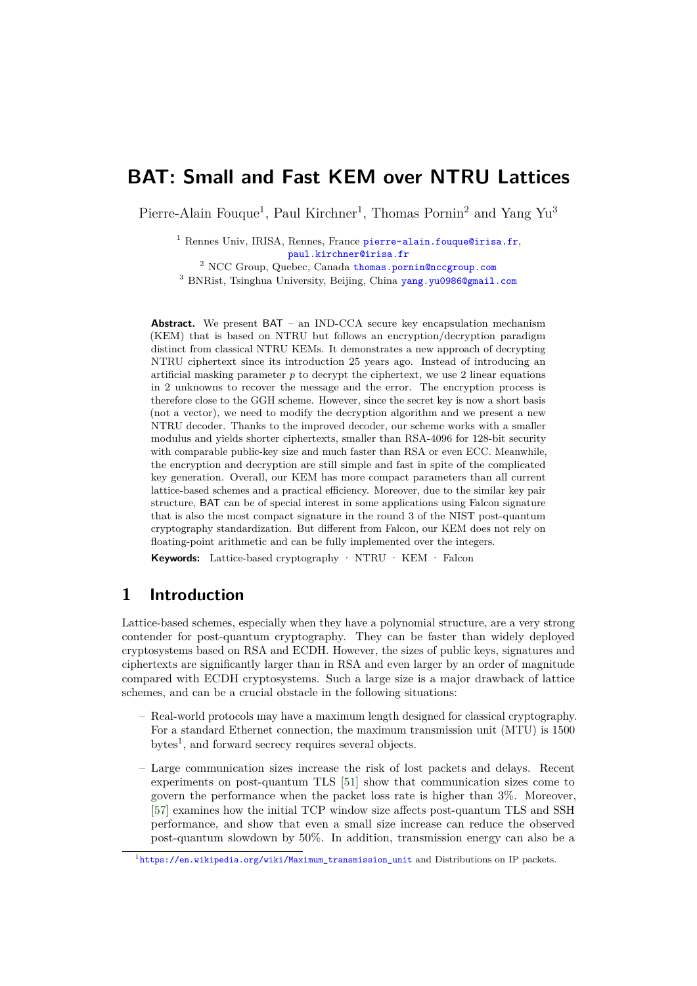# **BAT: Small and Fast KEM over NTRU Lattices**

Pierre-Alain Fouque<sup>1</sup>, Paul Kirchner<sup>1</sup>, Thomas Pornin<sup>2</sup> and Yang Yu<sup>3</sup>

<sup>1</sup> Rennes Univ, IRISA, Rennes, France [pierre-alain.fouque@irisa.fr](mailto:pierre-alain.fouque@irisa.fr), [paul.kirchner@irisa.fr](mailto:paul.kirchner@irisa.fr)

<sup>2</sup> NCC Group, Quebec, Canada [thomas.pornin@nccgroup.com](mailto:thomas.pornin@nccgroup.com) <sup>3</sup> BNRist, Tsinghua University, Beijing, China [yang.yu0986@gmail.com](mailto:yang.yu0986@gmail.com)

**Abstract.** We present BAT – an IND-CCA secure key encapsulation mechanism (KEM) that is based on NTRU but follows an encryption/decryption paradigm distinct from classical NTRU KEMs. It demonstrates a new approach of decrypting NTRU ciphertext since its introduction 25 years ago. Instead of introducing an artificial masking parameter  $p$  to decrypt the ciphertext, we use 2 linear equations in 2 unknowns to recover the message and the error. The encryption process is therefore close to the GGH scheme. However, since the secret key is now a short basis (not a vector), we need to modify the decryption algorithm and we present a new NTRU decoder. Thanks to the improved decoder, our scheme works with a smaller modulus and yields shorter ciphertexts, smaller than RSA-4096 for 128-bit security with comparable public-key size and much faster than RSA or even ECC. Meanwhile, the encryption and decryption are still simple and fast in spite of the complicated key generation. Overall, our KEM has more compact parameters than all current lattice-based schemes and a practical efficiency. Moreover, due to the similar key pair structure, BAT can be of special interest in some applications using Falcon signature that is also the most compact signature in the round 3 of the NIST post-quantum cryptography standardization. But different from Falcon, our KEM does not rely on floating-point arithmetic and can be fully implemented over the integers.

**Keywords:** Lattice-based cryptography · NTRU · KEM · Falcon

# **1 Introduction**

Lattice-based schemes, especially when they have a polynomial structure, are a very strong contender for post-quantum cryptography. They can be faster than widely deployed cryptosystems based on RSA and ECDH. However, the sizes of public keys, signatures and ciphertexts are significantly larger than in RSA and even larger by an order of magnitude compared with ECDH cryptosystems. Such a large size is a major drawback of lattice schemes, and can be a crucial obstacle in the following situations:

- Real-world protocols may have a maximum length designed for classical cryptography. For a standard Ethernet connection, the maximum transmission unit (MTU) is 1500 bytes<sup>1</sup>, and forward secrecy requires several objects.
- Large communication sizes increase the risk of lost packets and delays. Recent experiments on post-quantum TLS [51] show that communication sizes come to govern the performance when the packet loss rate is higher than 3%. Moreover, [57] examines how the initial TCP window size affects post-quantum TLS and SSH performance, and show that even a small size increase can reduce the observed post-quantum slowdown by 50%. In addition, transmission energy can also be a

<sup>1</sup>[https://en.wikipedia.org/wiki/Maximum\\_transmission\\_unit](https://en.wikipedia.org/wiki/Maximum_transmission_unit) and Distributions on IP packets.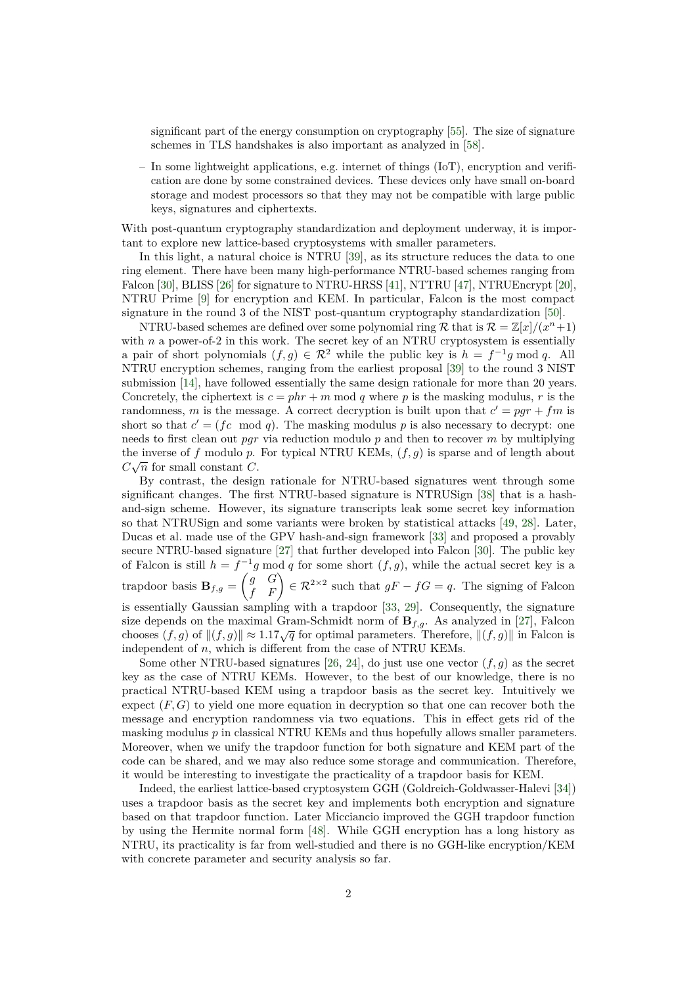significant part of the energy consumption on cryptography [55]. The size of signature schemes in TLS handshakes is also important as analyzed in [58].

– In some lightweight applications, e.g. internet of things (IoT), encryption and verification are done by some constrained devices. These devices only have small on-board storage and modest processors so that they may not be compatible with large public keys, signatures and ciphertexts.

With post-quantum cryptography standardization and deployment underway, it is important to explore new lattice-based cryptosystems with smaller parameters.

In this light, a natural choice is NTRU [39], as its structure reduces the data to one ring element. There have been many high-performance NTRU-based schemes ranging from Falcon [30], BLISS [26] for signature to NTRU-HRSS [41], NTTRU [47], NTRUEncrypt [20], NTRU Prime [9] for encryption and KEM. In particular, Falcon is the most compact signature in the round 3 of the NIST post-quantum cryptography standardization [50].

NTRU-based schemes are defined over some polynomial ring  $\mathcal{R}$  that is  $\mathcal{R} = \mathbb{Z}[x]/(x^n+1)$ with *n* a power-of-2 in this work. The secret key of an NTRU cryptosystem is essentially a pair of short polynomials  $(f, g) \in \mathbb{R}^2$  while the public key is  $h = f^{-1}g \mod q$ . All NTRU encryption schemes, ranging from the earliest proposal [39] to the round 3 NIST submission [14], have followed essentially the same design rationale for more than 20 years. Concretely, the ciphertext is  $c = phr + m \text{ mod } q$  where p is the masking modulus, r is the randomness, *m* is the message. A correct decryption is built upon that  $c' = pgr + fm$  is short so that  $c' = (fc \mod q)$ . The masking modulus p is also necessary to decrypt: one needs to first clean out *pgr* via reduction modulo *p* and then to recover *m* by multiplying the inverse of *f* modulo *p*. For typical NTRU KEMs,  $(f, g)$  is sparse and of length about  $C\sqrt{n}$  for small constant *C*.

By contrast, the design rationale for NTRU-based signatures went through some significant changes. The first NTRU-based signature is NTRUSign [38] that is a hashand-sign scheme. However, its signature transcripts leak some secret key information so that NTRUSign and some variants were broken by statistical attacks [49, 28]. Later, Ducas et al. made use of the GPV hash-and-sign framework [33] and proposed a provably secure NTRU-based signature [27] that further developed into Falcon [30]. The public key of Falcon is still  $h = f^{-1}g$  mod q for some short  $(f, g)$ , while the actual secret key is a trapdoor basis  $B_{f,g} = \begin{pmatrix} g & G \\ f & F \end{pmatrix} \in \mathcal{R}^{2 \times 2}$  such that  $gF - fG = q$ . The signing of Falcon

is essentially Gaussian sampling with a trapdoor [33, 29]. Consequently, the signature size depends on the maximal Gram-Schmidt norm of **B***f,g*. As analyzed in [27], Falcon chooses  $(f, g)$  of  $||(f, g)|| \approx 1.17\sqrt{q}$  for optimal parameters. Therefore,  $||(f, g)||$  in Falcon is independent of *n*, which is different from the case of NTRU KEMs.

Some other NTRU-based signatures [26, 24], do just use one vector  $(f, q)$  as the secret key as the case of NTRU KEMs. However, to the best of our knowledge, there is no practical NTRU-based KEM using a trapdoor basis as the secret key. Intuitively we expect  $(F, G)$  to yield one more equation in decryption so that one can recover both the message and encryption randomness via two equations. This in effect gets rid of the masking modulus *p* in classical NTRU KEMs and thus hopefully allows smaller parameters. Moreover, when we unify the trapdoor function for both signature and KEM part of the code can be shared, and we may also reduce some storage and communication. Therefore, it would be interesting to investigate the practicality of a trapdoor basis for KEM.

Indeed, the earliest lattice-based cryptosystem GGH (Goldreich-Goldwasser-Halevi [34]) uses a trapdoor basis as the secret key and implements both encryption and signature based on that trapdoor function. Later Micciancio improved the GGH trapdoor function by using the Hermite normal form [48]. While GGH encryption has a long history as NTRU, its practicality is far from well-studied and there is no GGH-like encryption/KEM with concrete parameter and security analysis so far.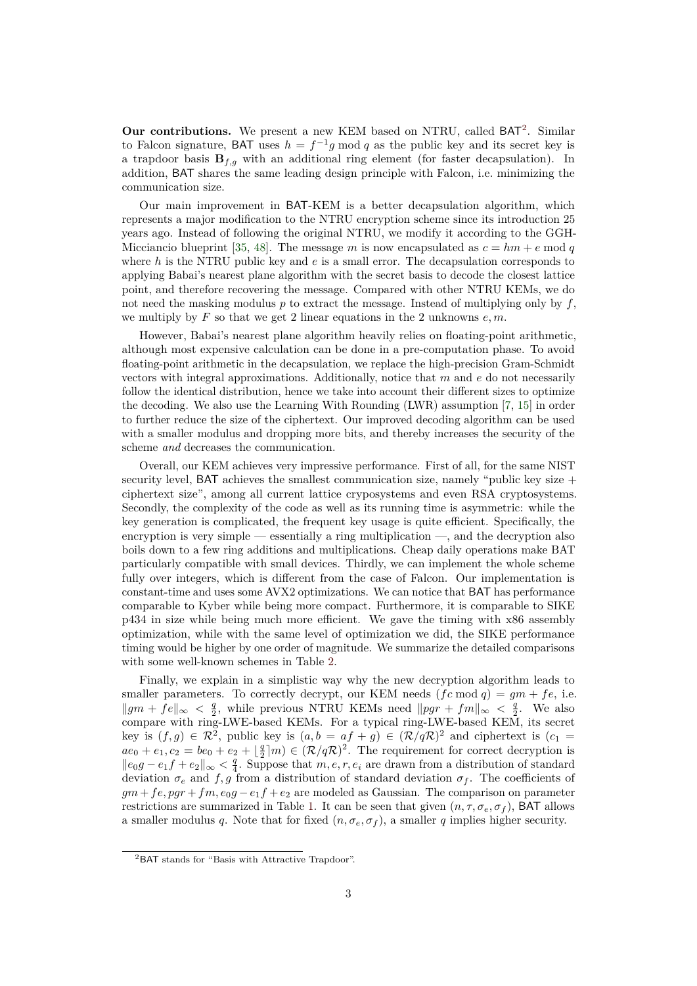Our contributions. We present a new KEM based on NTRU, called BAT<sup>2</sup>. Similar to Falcon signature, BAT uses  $h = f^{-1}g \mod q$  as the public key and its secret key is a trapdoor basis  $\mathbf{B}_{f,g}$  with an additional ring element (for faster decapsulation). In addition, BAT shares the same leading design principle with Falcon, i.e. minimizing the communication size.

Our main improvement in BAT-KEM is a better decapsulation algorithm, which represents a major modification to the NTRU encryption scheme since its introduction 25 years ago. Instead of following the original NTRU, we modify it according to the GGH-Micciancio blueprint [35, 48]. The message *m* is now encapsulated as  $c = hm + e \mod q$ where *h* is the NTRU public key and *e* is a small error. The decapsulation corresponds to applying Babai's nearest plane algorithm with the secret basis to decode the closest lattice point, and therefore recovering the message. Compared with other NTRU KEMs, we do not need the masking modulus *p* to extract the message. Instead of multiplying only by *f*, we multiply by *F* so that we get 2 linear equations in the 2 unknowns *e, m*.

However, Babai's nearest plane algorithm heavily relies on floating-point arithmetic, although most expensive calculation can be done in a pre-computation phase. To avoid floating-point arithmetic in the decapsulation, we replace the high-precision Gram-Schmidt vectors with integral approximations. Additionally, notice that *m* and *e* do not necessarily follow the identical distribution, hence we take into account their different sizes to optimize the decoding. We also use the Learning With Rounding (LWR) assumption [7, 15] in order to further reduce the size of the ciphertext. Our improved decoding algorithm can be used with a smaller modulus and dropping more bits, and thereby increases the security of the scheme *and* decreases the communication.

Overall, our KEM achieves very impressive performance. First of all, for the same NIST security level, BAT achieves the smallest communication size, namely "public key size + ciphertext size", among all current lattice cryposystems and even RSA cryptosystems. Secondly, the complexity of the code as well as its running time is asymmetric: while the key generation is complicated, the frequent key usage is quite efficient. Specifically, the encryption is very simple — essentially a ring multiplication —, and the decryption also boils down to a few ring additions and multiplications. Cheap daily operations make BAT particularly compatible with small devices. Thirdly, we can implement the whole scheme fully over integers, which is different from the case of Falcon. Our implementation is constant-time and uses some AVX2 optimizations. We can notice that BAT has performance comparable to Kyber while being more compact. Furthermore, it is comparable to SIKE p434 in size while being much more efficient. We gave the timing with x86 assembly optimization, while with the same level of optimization we did, the SIKE performance timing would be higher by one order of magnitude. We summarize the detailed comparisons with some well-known schemes in Table 2.

Finally, we explain in a simplistic way why the new decryption algorithm leads to smaller parameters. To correctly decrypt, our KEM needs  $(f c \mod q) = gm + fe$ , i.e.  $||gm + fe||_{\infty} < \frac{q}{2}$ , while previous NTRU KEMs need  $||pgr + fm||_{\infty} < \frac{q}{2}$ . We also compare with ring-LWE-based KEMs. For a typical ring-LWE-based KEM, its secret key is  $(f, g) \in \mathbb{R}^2$ , public key is  $(a, b = af + g) \in (\mathbb{R}/q\mathbb{R})^2$  and ciphertext is  $(c_1 =$  $ae_0 + e_1, c_2 = be_0 + e_2 + \lfloor \frac{q}{2} \rfloor m \in (\mathcal{R}/q\mathcal{R})^2$ . The requirement for correct decryption is  $||e_0g - e_1f + e_2||_{\infty} < \frac{q}{4}$ . Suppose that *m, e, r, e<sub>i</sub>* are drawn from a distribution of standard deviation  $\sigma_e$  and  $f, g$  from a distribution of standard deviation  $\sigma_f$ . The coefficients of  $gm + fe, pgr + fm, e_0g - e_1f + e_2$  are modeled as Gaussian. The comparison on parameter restrictions are summarized in Table 1. It can be seen that given  $(n, \tau, \sigma_e, \sigma_f)$ , BAT allows a smaller modulus *q*. Note that for fixed  $(n, \sigma_e, \sigma_f)$ , a smaller *q* implies higher security.

<sup>2</sup>BAT stands for "Basis with Attractive Trapdoor".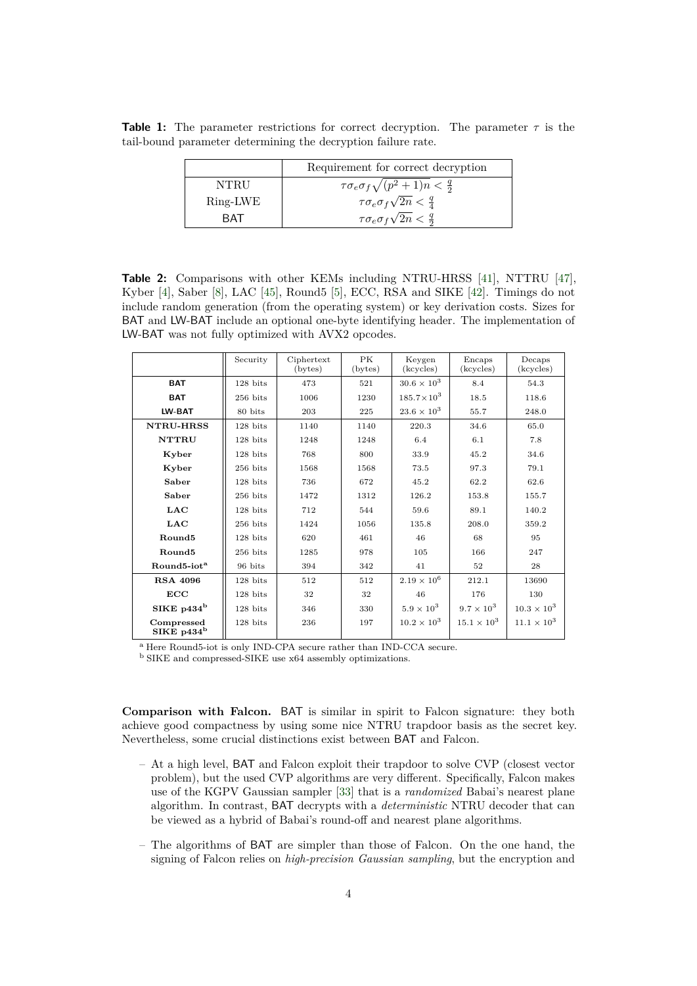**Table 1:** The parameter restrictions for correct decryption. The parameter  $\tau$  is the tail-bound parameter determining the decryption failure rate.

|          | Requirement for correct decryption                     |
|----------|--------------------------------------------------------|
| NTRU     | $\tau \sigma_e \sigma_f \sqrt{(p^2+1)n} < \frac{q}{2}$ |
| Ring-LWE | $\tau \sigma_e \sigma_f \sqrt{2n} < \frac{q}{4}$       |
| RAT      | $\tau \sigma_e \sigma_f \sqrt{2n} < \frac{q}{2}$       |

**Table 2:** Comparisons with other KEMs including NTRU-HRSS [41], NTTRU [47], Kyber [4], Saber [8], LAC [45], Round5 [5], ECC, RSA and SIKE [42]. Timings do not include random generation (from the operating system) or key derivation costs. Sizes for BAT and LW-BAT include an optional one-byte identifying header. The implementation of LW-BAT was not fully optimized with AVX2 opcodes.

|                             | Security        | Ciphertext<br>(bytes) | PK<br>(bytes) | Keygen<br>(kcycles)  | Encaps<br>(kcycles)  | Decaps<br>(kcycles)  |
|-----------------------------|-----------------|-----------------------|---------------|----------------------|----------------------|----------------------|
| <b>BAT</b>                  | 128 bits<br>473 |                       | 521           | $30.6 \times 10^{3}$ | 8.4                  | 54.3                 |
| <b>BAT</b>                  | $256$ bits      | 1006                  | 1230          | $185.7 \times 10^3$  | 18.5                 | 118.6                |
| LW-BAT                      | 80 bits         | 203                   | 225           | $23.6 \times 10^{3}$ | 55.7                 | 248.0                |
| <b>NTRU-HRSS</b>            | 128 bits        | 1140                  | 1140          | 220.3                | 34.6                 | 65.0                 |
| <b>NTTRU</b>                | 128 bits        | 1248                  | 1248          | 6.4                  | 6.1                  | 7.8                  |
| Kyber                       | 128 bits        | 768                   | 800           | 33.9                 | 45.2                 | 34.6                 |
| Kyber                       | $256$ bits      | 1568                  | 1568          | 73.5                 | 97.3                 | 79.1                 |
| Saber                       | 128 bits        | 736                   | 672           | 45.2                 | 62.2                 | 62.6                 |
| Saber                       | $256$ bits      | 1472                  | 1312          | 126.2                | 153.8                | 155.7                |
| <b>LAC</b>                  | 128 bits        | 712                   | 544           | 59.6                 | 89.1                 | 140.2                |
| <b>LAC</b>                  | $256$ bits      | 1424                  | 1056          | 135.8                | 208.0                | 359.2                |
| Round <sub>5</sub>          | 128 bits        | 620                   | 461           | 46                   | 68                   | 95                   |
| Round <sub>5</sub>          | $256$ bits      | 1285                  | 978           | 105                  | 166                  | 247                  |
| Round5-iot <sup>a</sup>     | 96 bits         | 394                   | 342           | 41                   | 52                   | 28                   |
| <b>RSA 4096</b>             | 128 bits        | 512                   | 512           | $2.19 \times 10^{6}$ | 212.1                | 13690                |
| ECC                         | $128$ bits      | 32                    | 32            | 46                   | 176                  | 130                  |
| SIKE $p434^b$               | $128$ bits      | 346                   | 330           | $5.9 \times 10^{3}$  | $9.7 \times 10^3$    | $10.3 \times 10^{3}$ |
| Compressed<br>SIKE $p434^b$ | $128$ bits      | 236                   | 197           | $10.2 \times 10^{3}$ | $15.1 \times 10^{3}$ | $11.1 \times 10^{3}$ |

<sup>a</sup> Here Round5-iot is only IND-CPA secure rather than IND-CCA secure.

<sup>b</sup> SIKE and compressed-SIKE use x64 assembly optimizations.

**Comparison with Falcon.** BAT is similar in spirit to Falcon signature: they both achieve good compactness by using some nice NTRU trapdoor basis as the secret key. Nevertheless, some crucial distinctions exist between BAT and Falcon.

- At a high level, BAT and Falcon exploit their trapdoor to solve CVP (closest vector problem), but the used CVP algorithms are very different. Specifically, Falcon makes use of the KGPV Gaussian sampler [33] that is a *randomized* Babai's nearest plane algorithm. In contrast, BAT decrypts with a *deterministic* NTRU decoder that can be viewed as a hybrid of Babai's round-off and nearest plane algorithms.
- The algorithms of BAT are simpler than those of Falcon. On the one hand, the signing of Falcon relies on *high-precision Gaussian sampling*, but the encryption and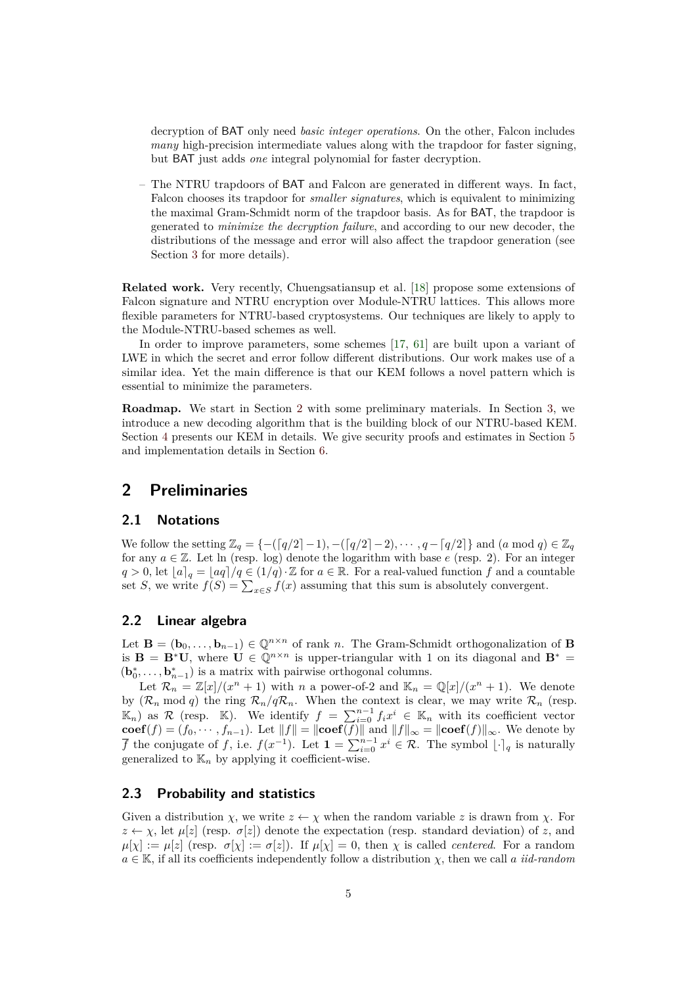decryption of BAT only need *basic integer operations*. On the other, Falcon includes *many* high-precision intermediate values along with the trapdoor for faster signing, but BAT just adds *one* integral polynomial for faster decryption.

– The NTRU trapdoors of BAT and Falcon are generated in different ways. In fact, Falcon chooses its trapdoor for *smaller signatures*, which is equivalent to minimizing the maximal Gram-Schmidt norm of the trapdoor basis. As for BAT, the trapdoor is generated to *minimize the decryption failure*, and according to our new decoder, the distributions of the message and error will also affect the trapdoor generation (see Section 3 for more details).

**Related work.** Very recently, Chuengsatiansup et al. [18] propose some extensions of Falcon signature and NTRU encryption over Module-NTRU lattices. This allows more flexible parameters for NTRU-based cryptosystems. Our techniques are likely to apply to the Module-NTRU-based schemes as well.

In order to improve parameters, some schemes [17, 61] are built upon a variant of LWE in which the secret and error follow different distributions. Our work makes use of a similar idea. Yet the main difference is that our KEM follows a novel pattern which is essential to minimize the parameters.

**Roadmap.** We start in Section 2 with some preliminary materials. In Section 3, we introduce a new decoding algorithm that is the building block of our NTRU-based KEM. Section 4 presents our KEM in details. We give security proofs and estimates in Section 5 and implementation details in Section 6.

## **2 Preliminaries**

### **2.1 Notations**

We follow the setting  $\mathbb{Z}_q = \{-(\lceil q/2 \rceil - 1), -(\lceil q/2 \rceil - 2), \cdots, q - \lceil q/2 \rceil \}$  and  $(a \mod q) \in \mathbb{Z}_q$ for any  $a \in \mathbb{Z}$ . Let ln (resp. log) denote the logarithm with base  $e$  (resp. 2). For an integer  $q > 0$ , let  $[a]_q = [aq]/q \in (1/q) \cdot \mathbb{Z}$  for  $a \in \mathbb{R}$ . For a real-valued function *f* and a countable set *S*, we write  $f(S) = \sum_{x \in S} f(x)$  assuming that this sum is absolutely convergent.

#### **2.2 Linear algebra**

Let **B** =  $(\mathbf{b}_0, \ldots, \mathbf{b}_{n-1}) \in \mathbb{Q}^{n \times n}$  of rank *n*. The Gram-Schmidt orthogonalization of **B** is **B** = **B**<sup>\*</sup>**U**, where **U**  $\in \mathbb{Q}^{n \times n}$  is upper-triangular with 1 on its diagonal and **B**<sup>\*</sup> =  $(\mathbf{b}_0^*, \ldots, \mathbf{b}_{n-1}^*)$  is a matrix with pairwise orthogonal columns.

Let  $\mathcal{R}_n = \mathbb{Z}[x]/(x^n + 1)$  with *n* a power-of-2 and  $\mathbb{K}_n = \mathbb{Q}[x]/(x^n + 1)$ . We denote by  $(\mathcal{R}_n \mod q)$  the ring  $\mathcal{R}_n/q\mathcal{R}_n$ . When the context is clear, we may write  $\mathcal{R}_n$  (resp.  $(\mathbb{K}_n)$  as R (resp. K). We identify  $f = \sum_{i=0}^{n-1} f_i x^i \in \mathbb{K}_n$  with its coefficient vector **coef**(*f*) = (*f*<sub>0</sub>, · · · *, f*<sub>*n*−1</sub>). Let  $||f|| = ||\textbf{coef}(f)||$  and  $||f||_{\infty} = ||\textbf{coef}(f)||_{\infty}$ . We denote by *f* the conjugate of *f*, i.e.  $f(x^{-1})$ . Let  $\mathbf{1} = \sum_{i=0}^{n-1} x^i \in \mathcal{R}$ . The symbol  $\lfloor \cdot \rceil_q$  is naturally generalized to  $\mathbb{K}_n$  by applying it coefficient-wise.

#### **2.3 Probability and statistics**

Given a distribution *χ*, we write  $z \leftarrow \chi$  when the random variable *z* is drawn from *χ*. For  $z \leftarrow \chi$ , let  $\mu[z]$  (resp.  $\sigma[z]$ ) denote the expectation (resp. standard deviation) of *z*, and  $\mu[\chi] := \mu[z]$  (resp.  $\sigma[\chi] := \sigma[z]$ ). If  $\mu[\chi] = 0$ , then  $\chi$  is called *centered*. For a random  $a \in \mathbb{K}$ , if all its coefficients independently follow a distribution  $\chi$ , then we call *a iid-random*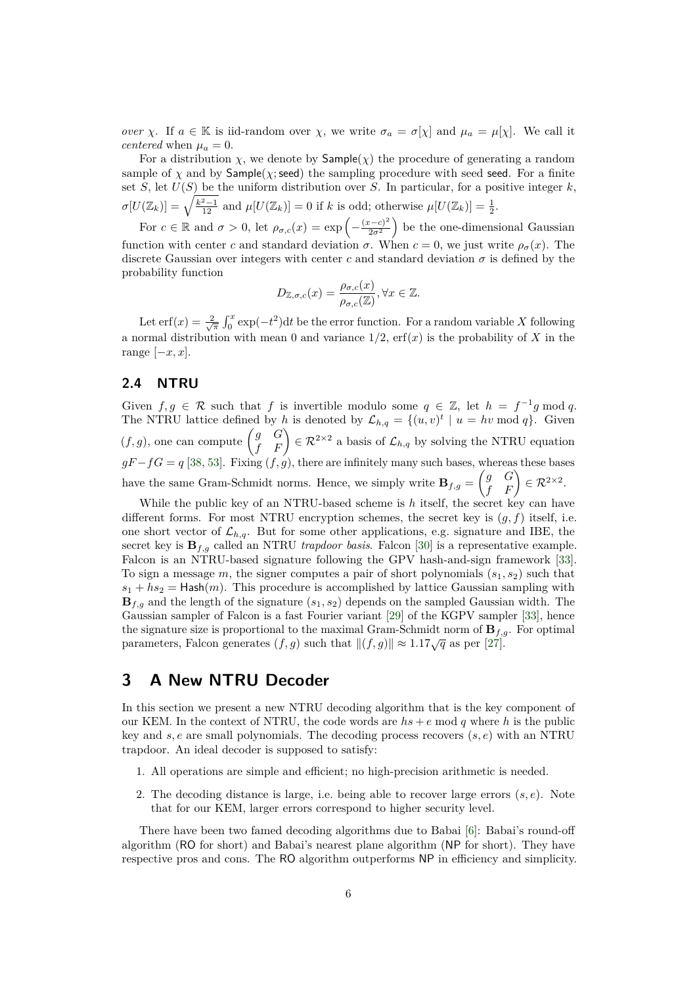*over χ*. If  $a \in \mathbb{K}$  is iid-random over *χ*, we write  $\sigma_a = \sigma[\chi]$  and  $\mu_a = \mu[\chi]$ . We call it *centered* when  $\mu_a = 0$ .

For a distribution  $\chi$ , we denote by  $\textsf{Sample}(\chi)$  the procedure of generating a random sample of  $\chi$  and by  $\mathsf{Sample}(\chi;\mathsf{seed})$  the sampling procedure with seed seed. For a finite set *S*, let  $U(S)$  be the uniform distribution over *S*. In particular, for a positive integer *k*,  $\sigma[U(\mathbb{Z}_k)] = \sqrt{\frac{k^2-1}{12}}$  and  $\mu[U(\mathbb{Z}_k)] = 0$  if *k* is odd; otherwise  $\mu[U(\mathbb{Z}_k)] = \frac{1}{2}$ .

For  $c \in \mathbb{R}$  and  $\sigma > 0$ , let  $\rho_{\sigma,c}(x) = \exp\left(-\frac{(x-c)^2}{2\sigma^2}\right)$  $\left(\frac{(x-c)^2}{2\sigma^2}\right)$  be the one-dimensional Gaussian function with center *c* and standard deviation  $\sigma$ . When  $c = 0$ , we just write  $\rho_{\sigma}(x)$ . The discrete Gaussian over integers with center *c* and standard deviation  $\sigma$  is defined by the probability function

$$
D_{\mathbb{Z},\sigma,c}(x) = \frac{\rho_{\sigma,c}(x)}{\rho_{\sigma,c}(\mathbb{Z})}, \forall x \in \mathbb{Z}.
$$

Let  $\text{erf}(x) = \frac{2}{\sqrt{\pi}} \int_0^x \exp(-t^2) dt$  be the error function. For a random variable *X* following a normal distribution with mean 0 and variance  $1/2$ ,  $erf(x)$  is the probability of X in the range  $[-x, x]$ .

### **2.4 NTRU**

Given  $f, g \in \mathcal{R}$  such that  $f$  is invertible modulo some  $q \in \mathbb{Z}$ , let  $h = f^{-1}g \mod q$ . The NTRU lattice defined by *h* is denoted by  $\mathcal{L}_{h,q} = \{(u, v)^t \mid u = hv \mod q\}$ . Given  $(f,g)$ , one can compute  $\begin{pmatrix} g & G \\ f & F \end{pmatrix} \in \mathcal{R}^{2\times 2}$  a basis of  $\mathcal{L}_{h,q}$  by solving the NTRU equation  $gF - fG = q$  [38, 53]. Fixing  $(f, g)$ , there are infinitely many such bases, whereas these bases have the same Gram-Schmidt norms. Hence, we simply write  $\mathbf{B}_{f,g} = \begin{pmatrix} g & G \\ f & F \end{pmatrix} \in \mathcal{R}^{2 \times 2}$ .

While the public key of an NTRU-based scheme is *h* itself, the secret key can have different forms. For most NTRU encryption schemes, the secret key is (*g, f*) itself, i.e. one short vector of  $\mathcal{L}_{h,q}$ . But for some other applications, e.g. signature and IBE, the secret key is  $\mathbf{B}_{f,q}$  called an NTRU *trapdoor basis*. Falcon [30] is a representative example. Falcon is an NTRU-based signature following the GPV hash-and-sign framework [33]. To sign a message *m*, the signer computes a pair of short polynomials (*s*1*, s*2) such that  $s_1 + h s_2 =$  Hash $(m)$ . This procedure is accomplished by lattice Gaussian sampling with **B***f,g* and the length of the signature (*s*1*, s*2) depends on the sampled Gaussian width. The Gaussian sampler of Falcon is a fast Fourier variant [29] of the KGPV sampler [33], hence the signature size is proportional to the maximal Gram-Schmidt norm of **B***f,g*. For optimal parameters, Falcon generates  $(f, g)$  such that  $||(f, g)|| \approx 1.17\sqrt{q}$  as per [27].

# **3 A New NTRU Decoder**

In this section we present a new NTRU decoding algorithm that is the key component of our KEM. In the context of NTRU, the code words are  $hs + e \text{ mod } q$  where h is the public key and *s, e* are small polynomials. The decoding process recovers (*s, e*) with an NTRU trapdoor. An ideal decoder is supposed to satisfy:

- 1. All operations are simple and efficient; no high-precision arithmetic is needed.
- 2. The decoding distance is large, i.e. being able to recover large errors (*s, e*). Note that for our KEM, larger errors correspond to higher security level.

There have been two famed decoding algorithms due to Babai [6]: Babai's round-off algorithm (RO for short) and Babai's nearest plane algorithm (NP for short). They have respective pros and cons. The RO algorithm outperforms NP in efficiency and simplicity.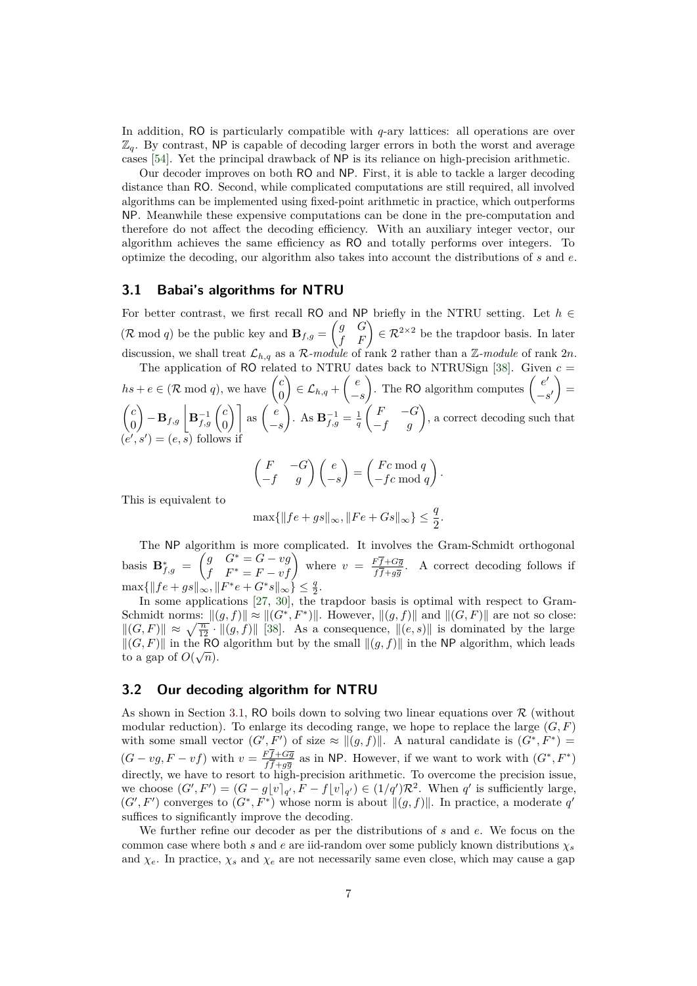In addition, RO is particularly compatible with *q*-ary lattices: all operations are over  $\mathbb{Z}_q$ . By contrast, NP is capable of decoding larger errors in both the worst and average cases [54]. Yet the principal drawback of NP is its reliance on high-precision arithmetic.

Our decoder improves on both RO and NP. First, it is able to tackle a larger decoding distance than RO. Second, while complicated computations are still required, all involved algorithms can be implemented using fixed-point arithmetic in practice, which outperforms NP. Meanwhile these expensive computations can be done in the pre-computation and therefore do not affect the decoding efficiency. With an auxiliary integer vector, our algorithm achieves the same efficiency as RO and totally performs over integers. To optimize the decoding, our algorithm also takes into account the distributions of *s* and *e*.

#### **3.1 Babai's algorithms for NTRU**

For better contrast, we first recall RO and NP briefly in the NTRU setting. Let *h* ∈  $(\mathcal{R} \mod q)$  be the public key and  $\mathbf{B}_{f,g} = \begin{pmatrix} g & G \\ f & F \end{pmatrix} \in \mathcal{R}^{2 \times 2}$  be the trapdoor basis. In later discussion, we shall treat  $\mathcal{L}_{h,q}$  as a  $\mathcal{R}\text{-module}$  of rank 2 rather than a  $\mathbb{Z}\text{-module}$  of rank  $2n$ . The application of RO related to NTRU dates back to NTRUSign  $[38]$ . Given  $c =$ 

 $hs + e \in (\mathcal{R} \mod q)$ , we have  $\begin{pmatrix} c & c \\ c & d \end{pmatrix}$  $\boldsymbol{0}$  $\left(\frac{e}{h,q}\right) \in \mathcal{L}_{h,q} + \left(\frac{e}{h,q}\right)$ −*s* ). The RO algorithm computes  $\begin{pmatrix} e' \end{pmatrix}$  $-s'$  $=$  *c*  $\overline{0}$  $\int -\mathbf{B}_{f,g} \left| \mathbf{B}_{f,g}^{-1} \left( \begin{matrix} c \\ 0 \end{matrix} \right) \right|$  $\begin{bmatrix} c \ 0 \end{bmatrix}$  as  $\begin{pmatrix} e \ -1 \end{pmatrix}$ −*s* ). As  $\mathbf{B}_{f,g}^{-1} = \frac{1}{q}$  $\begin{pmatrix} F & -G \\ -f & g \end{pmatrix}$ , a correct decoding such that (*e*  $\lambda(s') = (e, \overline{s})$  follows if

$$
\begin{pmatrix} F & -G \\ -f & g \end{pmatrix} \begin{pmatrix} e \\ -s \end{pmatrix} = \begin{pmatrix} Fc \bmod q \\ -fc \bmod q \end{pmatrix}.
$$

This is equivalent to

$$
\max\{\|fe+gs\|_{\infty}, \|Fe+Gs\|_{\infty}\} \le \frac{q}{2}.
$$

The NP algorithm is more complicated. It involves the Gram-Schmidt orthogonal basis  $\mathbf{B}_{f,g}^* = \begin{pmatrix} g & G^* = G - vg \\ f & F^* = F - vf \end{pmatrix}$  where  $v = \frac{F\overline{f} + G\overline{g}}{f\overline{f} + g\overline{g}}$  $\frac{Ff+Gg}{f\bar{f}+g\bar{g}}$ . A correct decoding follows if  $\max\{\|fe + gs\|_{\infty}, \|F^*e + G^*s\|_{\infty}\}\leq \frac{q}{2}.$ 

In some applications [27, 30], the trapdoor basis is optimal with respect to Gram-Schmidt norms:  $\|(g, f)\| \approx \|(G^*, F^*)\|$ . However,  $\|(g, f)\|$  and  $\|(G, F)\|$  are not so close:  $||(G, F)|| \approx \sqrt{\frac{n}{12}} \cdot ||(g, f)||$  [38]. As a consequence,  $||(e, s)||$  is dominated by the large  $||(G, F)||$  in the RO algorithm but by the small  $||(g, f)||$  in the NP algorithm, which leads to a gap of  $O(\sqrt{n})$ .

### **3.2 Our decoding algorithm for NTRU**

As shown in Section 3.1, RO boils down to solving two linear equations over  $\mathcal R$  (without modular reduction). To enlarge its decoding range, we hope to replace the large  $(G, F)$ with some small vector  $(G', F')$  of size  $\approx ||(g, f)||$ . A natural candidate is  $(G^*, F^*)$  $(G - v g, F - v f)$  with  $v = \frac{F f + G \overline{g}}{f \overline{f} + \overline{f}}$  $\frac{Ff+G\overline{g}}{f\overline{f}+g\overline{g}}$  as in NP. However, if we want to work with  $(G^*,F^*)$ directly, we have to resort to high-precision arithmetic. To overcome the precision issue, we choose  $(G', F') = (G - g\lfloor v \rfloor_{q'}, F - f\lfloor v \rfloor_{q'}) \in (1/q')\mathcal{R}^2$ . When  $q'$  is sufficiently large,  $(G', F')$  converges to  $(G^*, F^*)$  whose norm is about  $\|(g, f)\|$ . In practice, a moderate q' suffices to significantly improve the decoding.

We further refine our decoder as per the distributions of *s* and *e*. We focus on the common case where both *s* and *e* are iid-random over some publicly known distributions  $\chi_s$ and  $\chi_e$ . In practice,  $\chi_s$  and  $\chi_e$  are not necessarily same even close, which may cause a gap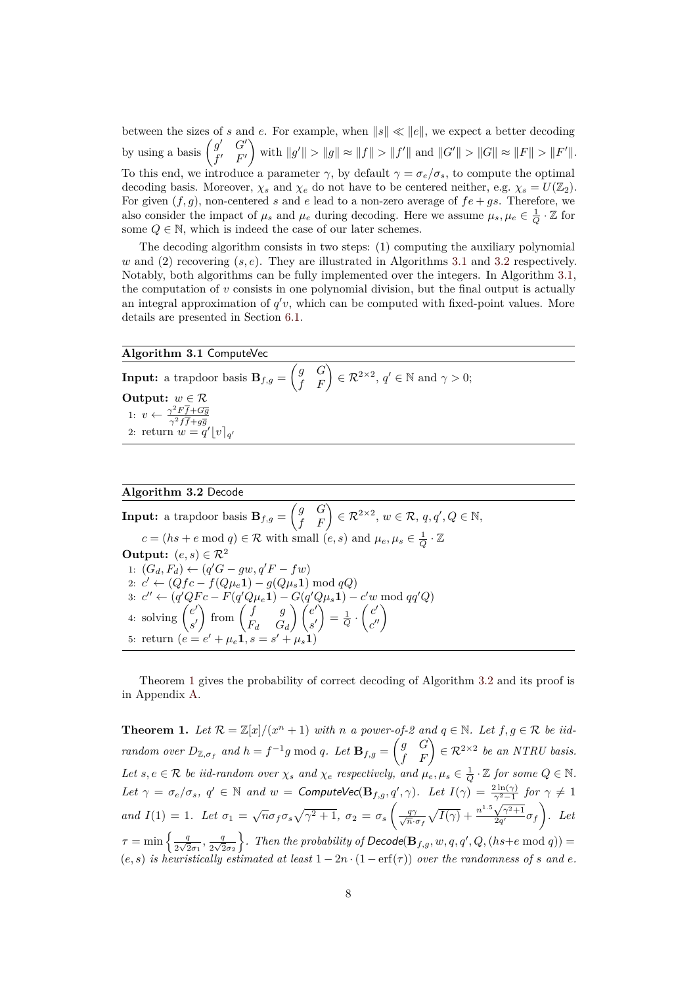between the sizes of *s* and *e*. For example, when  $||s|| \ll ||e||$ , we expect a better decoding by using a basis  $\begin{pmatrix} g' & G' \\ g' & F' \end{pmatrix}$  $f'$   $F'$  $\int$  with  $||g'|| > ||g|| \approx ||f|| > ||f'||$  and  $||G'|| > ||G|| \approx ||F|| > ||F'||$ . To this end, we introduce a parameter  $\gamma$ , by default  $\gamma = \sigma_e/\sigma_s$ , to compute the optimal decoding basis. Moreover,  $\chi_s$  and  $\chi_e$  do not have to be centered neither, e.g.  $\chi_s = U(\mathbb{Z}_2)$ . For given  $(f, g)$ , non-centered *s* and *e* lead to a non-zero average of  $fe + gs$ . Therefore, we also consider the impact of  $\mu_s$  and  $\mu_e$  during decoding. Here we assume  $\mu_s, \mu_e \in \frac{1}{Q} \cdot \mathbb{Z}$  for some  $Q \in \mathbb{N}$ , which is indeed the case of our later schemes.

The decoding algorithm consists in two steps: (1) computing the auxiliary polynomial  $w$  and (2) recovering  $(s, e)$ . They are illustrated in Algorithms 3.1 and 3.2 respectively. Notably, both algorithms can be fully implemented over the integers. In Algorithm 3.1, the computation of  $v$  consists in one polynomial division, but the final output is actually an integral approximation of  $q'v$ , which can be computed with fixed-point values. More details are presented in Section 6.1.

#### **Algorithm 3.1** ComputeVec

**Input:** a trapdoor basis  $\mathbf{B}_{f,g} = \begin{pmatrix} g & G \ f & F \end{pmatrix} \in \mathcal{R}^{2 \times 2}$ ,  $q' \in \mathbb{N}$  and  $\gamma > 0$ ; **Output:**  $w \in \mathcal{R}$ 1:  $v \leftarrow \frac{\gamma^2 F \overline{f} + G \overline{g}}{\gamma^2 F \overline{f} + G \overline{g}}$ 2: return  $w = q' \lfloor v \rfloor_{q'}$ 

### **Algorithm 3.2** Decode

 $\textbf{Input:} \text{ a trapdoor basis } \mathbf{B}_{f,g} = \begin{pmatrix} g & G \ f & F \end{pmatrix} \in \mathcal{R}^{2 \times 2}, \, w \in \mathcal{R}, \, q, q', Q \in \mathbb{N},$  $c = (hs + e \text{ mod } q) \in \mathcal{R}$  with small  $(e, s)$  and  $\mu_e, \mu_s \in \frac{1}{Q} \cdot \mathbb{Z}$ **Output:**  $(e, s) \in \mathcal{R}^2$ 1:  $(G_d, F_d)$  ←  $(q'G - gw, q'F - fw)$ 2:  $c'$  ← ( $Qfc - f(Q\mu_e 1) - g(Q\mu_s 1) \bmod qQ$ ) 3:  $c'' \leftarrow (q'QFc - F(q'Q\mu_e \mathbf{1}) - G(q'Q\mu_s \mathbf{1}) - c'w \mod{qq'Q})$ 4: solving  $\begin{pmatrix} e' \end{pmatrix}$ *s* 0  $\int$  from  $\begin{pmatrix} f & g \\ g & g \end{pmatrix}$ *F<sup>d</sup> G<sup>d</sup>*  $\bigwedge$   $(e'$ *s* 0  $\bigg) = \frac{1}{Q} \cdot \left( \frac{c'}{c'} \right)$  $\begin{pmatrix} c' \ c'' \end{pmatrix}$ 5: return  $(e = e' + \mu_e 1, s = s)$  $\mu^{\prime} + \mu_s \dot{\mathbf{1}})$ 

Theorem 1 gives the probability of correct decoding of Algorithm 3.2 and its proof is in Appendix A.

**Theorem 1.** Let  $\mathcal{R} = \mathbb{Z}[x]/(x^n + 1)$  with *n* a power-of-2 and  $q \in \mathbb{N}$ . Let  $f, g \in \mathcal{R}$  be iid*random over*  $D_{\mathbb{Z}, \sigma_f}$  *and*  $h = f^{-1}g \mod q$ *. Let*  $\mathbf{B}_{f,g} = \begin{pmatrix} g & G \\ f & F \end{pmatrix} \in \mathcal{R}^{2 \times 2}$  *be an NTRU basis. Let*  $s, e \in \mathcal{R}$  *be iid-random over*  $\chi_s$  *and*  $\chi_e$  *respectively, and*  $\mu_e, \mu_s \in \frac{1}{Q} \cdot \mathbb{Z}$  *for some*  $Q \in \mathbb{N}$ *.* Let  $\gamma = \sigma_e/\sigma_s$ ,  $q' \in \mathbb{N}$  and  $w =$  ComputeVec( $\mathbf{B}_{f,g}, q', \gamma$ ). Let  $I(\gamma) = \frac{2 \ln(\gamma)}{\gamma^2 - 1}$  for  $\gamma \neq 1$ *and*  $I(1) = 1$ *. Let*  $\sigma_1 = \sqrt{n} \sigma_f \sigma_s \sqrt{\gamma^2 + 1}$ ,  $\sigma_2 = \sigma_s \left( \frac{q\gamma}{\sqrt{n}} \right)$  $\frac{q\gamma}{\overline{n}\cdot\sigma_f}\sqrt{I(\gamma)}+\frac{n}{2}$  $\frac{\gamma^2 - 1}{\sqrt{\gamma^2 + 1}}$  $\frac{\sqrt{\gamma^2+1}}{2q'}\sigma_f$ . Let  $\tau = \min \left\{ \frac{q}{2\sqrt{q}} \right\}$  $rac{q}{2\sqrt{2}\sigma_1}$ ,  $rac{q}{2\sqrt{2}}$  $rac{q}{2\sqrt{2}\sigma_2}$  $\}$ . Then the probability of Decode( $\mathbf{B}_{f,g}$ ,  $w, q, q', Q, (hs+e \text{ mod } q)$ ) =  $(e, s)$  *is heuristically estimated at least*  $1 - 2n \cdot (1 - erf(\tau))$  *over the randomness of s and e.*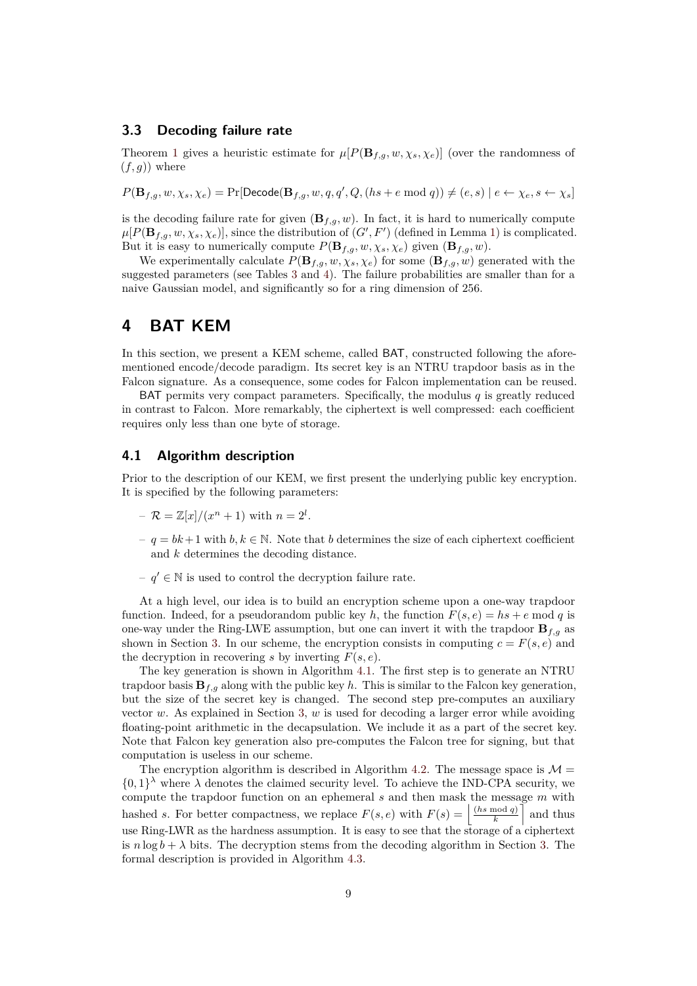#### **3.3 Decoding failure rate**

Theorem 1 gives a heuristic estimate for  $\mu[P(\mathbf{B}_{f,g}, w, \chi_s, \chi_e)]$  (over the randomness of  $(f, g)$ ) where

 $P(\mathbf{B}_{f,g}, w, \chi_s, \chi_e) = \Pr[\mathsf{Decode}(\mathbf{B}_{f,g}, w, q, q', Q, (hs + e \bmod q)) \neq (e, s) | e \leftarrow \chi_e, s \leftarrow \chi_s]$ 

is the decoding failure rate for given  $(\mathbf{B}_{f,q}, w)$ . In fact, it is hard to numerically compute  $\mu[P(\mathbf{B}_{f,g}, w, \chi_s, \chi_e)]$ , since the distribution of  $(G', F')$  (defined in Lemma 1) is complicated. But it is easy to numerically compute  $P(\mathbf{B}_{f,g}, w, \chi_s, \chi_e)$  given  $(\mathbf{B}_{f,g}, w)$ .

We experimentally calculate  $P(\mathbf{B}_{f,g}, w, \chi_s, \chi_e)$  for some  $(\mathbf{B}_{f,g}, w)$  generated with the suggested parameters (see Tables 3 and 4). The failure probabilities are smaller than for a naive Gaussian model, and significantly so for a ring dimension of 256.

# **4 BAT KEM**

In this section, we present a KEM scheme, called BAT, constructed following the aforementioned encode/decode paradigm. Its secret key is an NTRU trapdoor basis as in the Falcon signature. As a consequence, some codes for Falcon implementation can be reused.

BAT permits very compact parameters. Specifically, the modulus *q* is greatly reduced in contrast to Falcon. More remarkably, the ciphertext is well compressed: each coefficient requires only less than one byte of storage.

#### **4.1 Algorithm description**

Prior to the description of our KEM, we first present the underlying public key encryption. It is specified by the following parameters:

- $-R = \mathbb{Z}[x]/(x^n + 1)$  with  $n = 2^l$ .
- *q* = *bk*+ 1 with *b, k* ∈ N. Note that *b* determines the size of each ciphertext coefficient and *k* determines the decoding distance.
- $−$   $q'$  ∈ N is used to control the decryption failure rate.

At a high level, our idea is to build an encryption scheme upon a one-way trapdoor function. Indeed, for a pseudorandom public key *h*, the function  $F(s, e) = hs + e \text{ mod } q$  is one-way under the Ring-LWE assumption, but one can invert it with the trapdoor  $\mathbf{B}_{f,g}$  as shown in Section 3. In our scheme, the encryption consists in computing  $c = F(s, e)$  and the decryption in recovering *s* by inverting  $F(s, e)$ .

The key generation is shown in Algorithm 4.1. The first step is to generate an NTRU trapdoor basis  $\mathbf{B}_{f,g}$  along with the public key *h*. This is similar to the Falcon key generation, but the size of the secret key is changed. The second step pre-computes an auxiliary vector *w*. As explained in Section 3, *w* is used for decoding a larger error while avoiding floating-point arithmetic in the decapsulation. We include it as a part of the secret key. Note that Falcon key generation also pre-computes the Falcon tree for signing, but that computation is useless in our scheme.

The encryption algorithm is described in Algorithm 4.2. The message space is  $\mathcal{M} =$  $\{0,1\}^{\lambda}$  where  $\lambda$  denotes the claimed security level. To achieve the IND-CPA security, we compute the trapdoor function on an ephemeral *s* and then mask the message *m* with hashed *s*. For better compactness, we replace  $F(s, e)$  with  $F(s) = \frac{\left(\frac{h s \mod q}{k}\right)}{s}$  $\left(\frac{\text{mod }q}{k}\right)$  and thus use Ring-LWR as the hardness assumption. It is easy to see that the storage of a ciphertext is  $n \log b + \lambda$  bits. The decryption stems from the decoding algorithm in Section 3. The formal description is provided in Algorithm 4.3.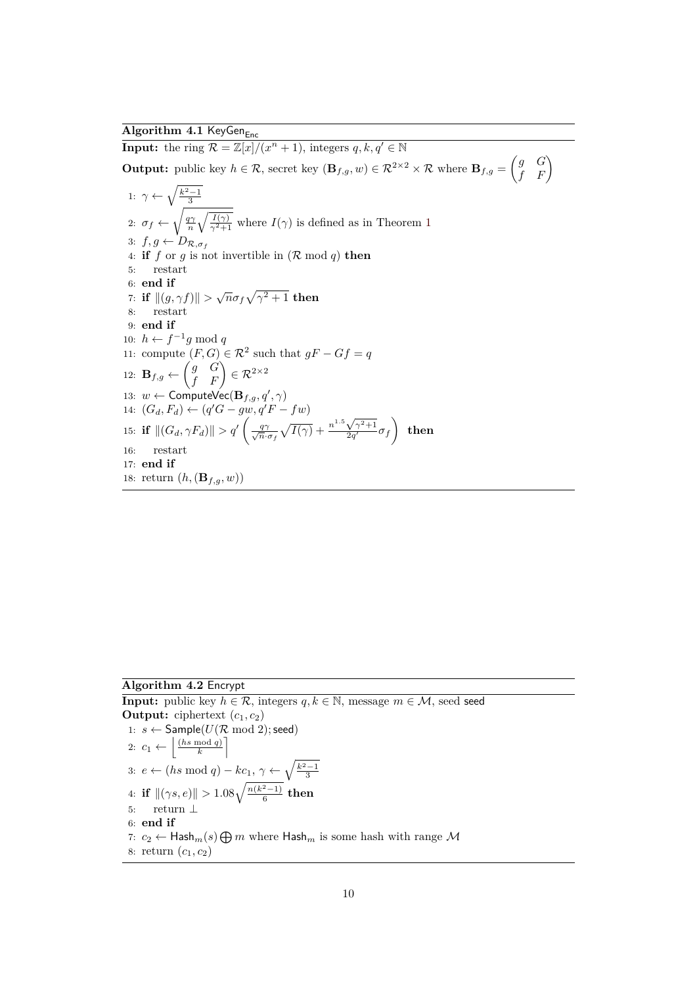### $\mathbf{Algorithm}$  4.1 KeyGen<sub>Enc</sub>

**Input:** the ring  $\mathcal{R} = \mathbb{Z}[x]/(x^n + 1)$ , integers  $q, k, q' \in \mathbb{N}$ 

**Output:** public key  $h \in \mathcal{R}$ , secret key  $(\mathbf{B}_{f,g}, w) \in \mathcal{R}^{2 \times 2} \times \mathcal{R}$  where  $\mathbf{B}_{f,g} = \begin{pmatrix} g & G \\ f & F \end{pmatrix}$ 

1: 
$$
\gamma \leftarrow \sqrt{\frac{k^2-1}{3}}
$$
  
\n2:  $\sigma_f \leftarrow \sqrt{\frac{q\gamma}{n}\sqrt{\frac{I(\gamma)}{\gamma^2+1}}}$  where  $I(\gamma)$  is defined as in Theorem 1  
\n3:  $f, g \leftarrow D_{\mathcal{R}, \sigma_f}$   
\n4: **if**  $f$  or  $g$  is not invertible in  $(\mathcal{R} \mod q)$  **then**  
\n5: **restart**  
\n6: **end if**  
\n7: **if**  $||(g, \gamma f)|| > \sqrt{n}\sigma_f\sqrt{\gamma^2+1}$  **then**  
\n8: **restart**  
\n9: **end if**  
\n10:  $h \leftarrow f^{-1}g \mod q$   
\n11: compute  $(F, G) \in \mathbb{R}^2$  such that  $gF - Gf = q$   
\n12: **B** $f, g \leftarrow \begin{pmatrix} g & G \\ f & F \end{pmatrix} \in \mathbb{R}^{2 \times 2}$   
\n13:  $w \leftarrow$  ComputeVec(**B** $f, g, q', \gamma$ )  
\n14:  $(G_d, F_d) \leftarrow (q'G - gw, q'F - fw)$   
\n15: **if**  $||(G_d, \gamma F_d)|| > q' \left(\frac{q\gamma}{\sqrt{n} \cdot \sigma_f} \sqrt{I(\gamma)} + \frac{n^{1.5}\sqrt{\gamma^2+1}}{2q'} \sigma_f\right)$  **then**  
\n16: **restart**  
\n17: **end if**  
\n18: **return**  $(h, (\mathbf{B}_{f,g}, w))$ 

**Algorithm 4.2** Encrypt

**Input:** public key  $h \in \mathcal{R}$ , integers  $q, k \in \mathbb{N}$ , message  $m \in \mathcal{M}$ , seed seed **Output:** ciphertext  $(c_1, c_2)$ 1:  $s \leftarrow$  Sample( $U(\mathcal{R} \mod 2)$ ; seed) 2:  $c_1 \leftarrow \left| \frac{(hs \mod q)}{k} \right|$  $\left[\frac{mod\ q}{k}\right]$ 3: *e* ← (*hs* mod *q*) – *kc*<sub>1</sub>,  $\gamma$  ←  $\sqrt{\frac{k^2-1}{3}}$ 4: **if**  $\|(\gamma s, e)\| > 1.08\sqrt{\frac{n(k^2-1)}{6}}$  $\frac{x-1}{6}$  then 5: return ⊥ 6: **end if** 7:  $c_2 \leftarrow$  Hash<sub>*m*</sub>(*s*)  $\bigoplus m$  where Hash<sub>*m*</sub> is some hash with range  $\mathcal M$ 8: return  $(c_1, c_2)$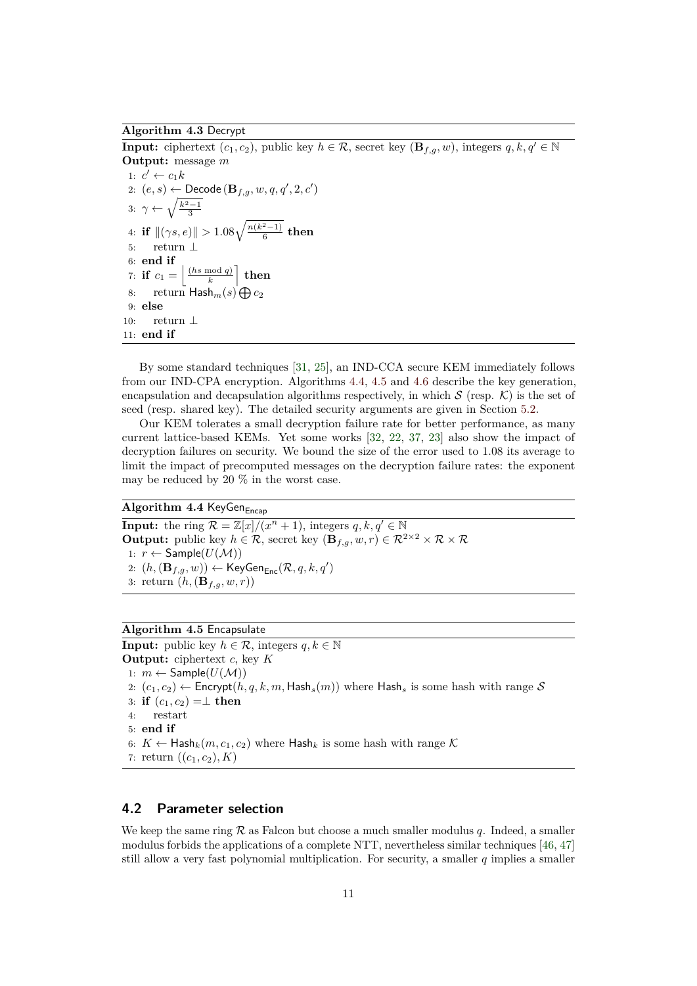#### **Algorithm 4.3** Decrypt

**Input:** ciphertext  $(c_1, c_2)$ , public key  $h \in \mathcal{R}$ , secret key  $(\mathbf{B}_{f,q}, w)$ , integers  $q, k, q' \in \mathbb{N}$ **Output:** message *m* 1:  $c' \leftarrow c_1 k$ 2:  $(e, s) \leftarrow$  Decode  $(\mathbf{B}_{f,g}, w, q, q', 2, c')$ 3:  $\gamma \leftarrow \sqrt{\frac{k^2-1}{3}}$ 4: **if**  $\|(\gamma s, e)\| > 1.08\sqrt{\frac{n(k^2-1)}{6}}$  $\frac{x-1}{6}$  then 5: return ⊥ 6: **end if** 7: **if**  $c_1 = \frac{\ln \mod q}{k}$  $\left[\frac{\mod q}{k}\right]$  then 8: return  $\mathsf{Hash}_m(s) \bigoplus c_2$ 9: **else** 10: return ⊥ 11: **end if**

By some standard techniques [31, 25], an IND-CCA secure KEM immediately follows from our IND-CPA encryption. Algorithms 4.4, 4.5 and 4.6 describe the key generation, encapsulation and decapsulation algorithms respectively, in which  $S$  (resp.  $K$ ) is the set of seed (resp. shared key). The detailed security arguments are given in Section 5.2.

Our KEM tolerates a small decryption failure rate for better performance, as many current lattice-based KEMs. Yet some works [32, 22, 37, 23] also show the impact of decryption failures on security. We bound the size of the error used to 1*.*08 its average to limit the impact of precomputed messages on the decryption failure rates: the exponent may be reduced by 20 % in the worst case.

### **Algorithm 4.4 KeyGenEncap**

**Input:** the ring  $\mathcal{R} = \mathbb{Z}[x]/(x^n + 1)$ , integers  $q, k, q' \in \mathbb{N}$ **Output:** public key  $h \in \mathcal{R}$ , secret key  $(\mathbf{B}_{f,g}, w, r) \in \mathcal{R}^{2 \times 2} \times \mathcal{R} \times \mathcal{R}$ 1:  $r \leftarrow$  Sample( $U(\mathcal{M})$ ) 2:  $(h, (\mathbf{B}_{f,g}, w))$  ← KeyGen<sub>Enc</sub> $(\mathcal{R}, q, k, q')$ 3: return  $(h, (\mathbf{B}_{f,g}, w, r))$ 

#### **Algorithm 4.5** Encapsulate

**Input:** public key  $h \in \mathcal{R}$ , integers  $q, k \in \mathbb{N}$ **Output:** ciphertext *c*, key *K* 1:  $m \leftarrow$  Sample( $U(\mathcal{M})$ ) 2:  $(c_1, c_2) \leftarrow$  Encrypt $(h, q, k, m,$  Hash<sub>s</sub> $(m))$  where Hash<sub>s</sub> is some hash with range S 3: **if**  $(c_1, c_2) = \perp$  **then** 4: restart 5: **end if** 6:  $K \leftarrow$  Hash<sub>k</sub> $(m, c_1, c_2)$  where Hash<sub>k</sub> is some hash with range  $K$ 7: return  $((c_1, c_2), K)$ 

#### **4.2 Parameter selection**

We keep the same ring R as Falcon but choose a much smaller modulus *q*. Indeed, a smaller modulus forbids the applications of a complete NTT, nevertheless similar techniques [46, 47] still allow a very fast polynomial multiplication. For security, a smaller *q* implies a smaller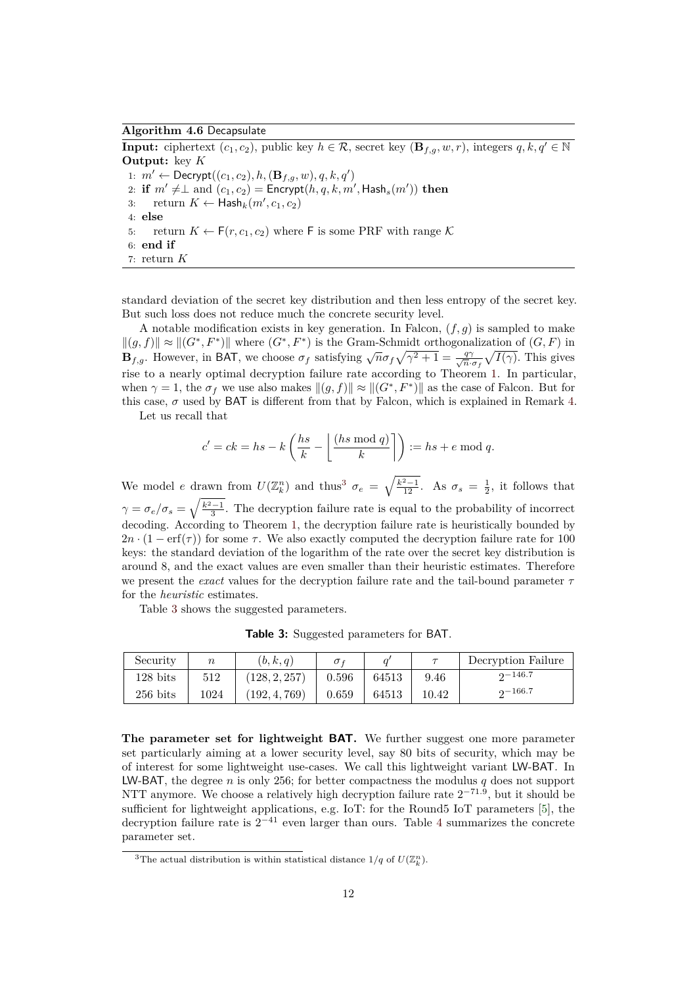#### **Algorithm 4.6** Decapsulate

**Input:** ciphertext  $(c_1, c_2)$ , public key  $h \in \mathcal{R}$ , secret key  $(\mathbf{B}_{f,q}, w, r)$ , integers  $q, k, q' \in \mathbb{N}$ **Output:** key *K* 1:  $m' \leftarrow \text{Decrypt}((c_1, c_2), h, (\mathbf{B}_{f,g}, w), q, k, q')$ 2: **if**  $m' \neq \perp$  and  $(c_1, c_2) =$  Encrypt $(h, q, k, m',$  Hash<sub>s</sub> $(m'))$  then 3: return  $K \leftarrow \mathsf{Hash}_k(m', c_1, c_2)$ 4: **else** 5: return  $K \leftarrow F(r, c_1, c_2)$  where F is some PRF with range K 6: **end if** 7: return *K*

standard deviation of the secret key distribution and then less entropy of the secret key. But such loss does not reduce much the concrete security level.

A notable modification exists in key generation. In Falcon, (*f, g*) is sampled to make  $\|(g, f)\| \approx \|(G^*, F^*)\|$  where  $(G^*, F^*)$  is the Gram-Schmidt orthogonalization of  $(G, F)$  in **B***f*<sub>*fg*</sub>. However, in BAT, we choose  $\sigma_f$  satisfying  $\sqrt{n}\sigma_f\sqrt{\gamma^2+1} = \frac{q\gamma}{\sqrt{n}}$  $\frac{q\gamma}{n \cdot \sigma_f} \sqrt{I(\gamma)}$ . This gives rise to a nearly optimal decryption failure rate according to Theorem 1. In particular, when  $\gamma = 1$ , the  $\sigma_f$  we use also makes  $\|(g, f)\| \approx \|(\mathbf{G}^*, \mathbf{F}^*)\|$  as the case of Falcon. But for this case,  $\sigma$  used by BAT is different from that by Falcon, which is explained in Remark 4.

Let us recall that

$$
c' = ck = hs - k\left(\frac{hs}{k} - \left\lfloor\frac{(hs \bmod q)}{k}\right\rfloor\right) := hs + e \bmod q.
$$

We model *e* drawn from  $U(\mathbb{Z}_k^n)$  and thus<sup>3</sup>  $\sigma_e = \sqrt{\frac{k^2-1}{12}}$ . As  $\sigma_s = \frac{1}{2}$ , it follows that  $\gamma = \sigma_e/\sigma_s = \sqrt{\frac{k^2-1}{3}}$ . The decryption failure rate is equal to the probability of incorrect decoding. According to Theorem 1, the decryption failure rate is heuristically bounded by  $2n \cdot (1 - erf(\tau))$  for some  $\tau$ . We also exactly computed the decryption failure rate for 100 keys: the standard deviation of the logarithm of the rate over the secret key distribution is around 8, and the exact values are even smaller than their heuristic estimates. Therefore we present the *exact* values for the decryption failure rate and the tail-bound parameter *τ* for the *heuristic* estimates.

Table 3 shows the suggested parameters.

**Table 3:** Suggested parameters for BAT.

| Security   | $\boldsymbol{n}$ | (b, k, q)     | $\sigma_f$ |       |       | Decryption Failure |
|------------|------------------|---------------|------------|-------|-------|--------------------|
| $128$ bits | 512              | (128, 2, 257) | 0.596      | 64513 | 9.46  | $2 - 146.7$        |
| $256$ bits | 1024             | (192, 4, 769) | 0.659      | 64513 | 10.42 | $2 - 166.7$        |

**The parameter set for lightweight BAT.** We further suggest one more parameter set particularly aiming at a lower security level, say 80 bits of security, which may be of interest for some lightweight use-cases. We call this lightweight variant LW-BAT. In LW-BAT, the degree  $n$  is only 256; for better compactness the modulus  $q$  does not support NTT anymore. We choose a relatively high decryption failure rate  $2^{-71.9}$ , but it should be sufficient for lightweight applications, e.g. IoT: for the Round5 IoT parameters [5], the decryption failure rate is  $2^{-41}$  even larger than ours. Table 4 summarizes the concrete parameter set.

<sup>&</sup>lt;sup>3</sup>The actual distribution is within statistical distance  $1/q$  of  $U(\mathbb{Z}_k^n)$ .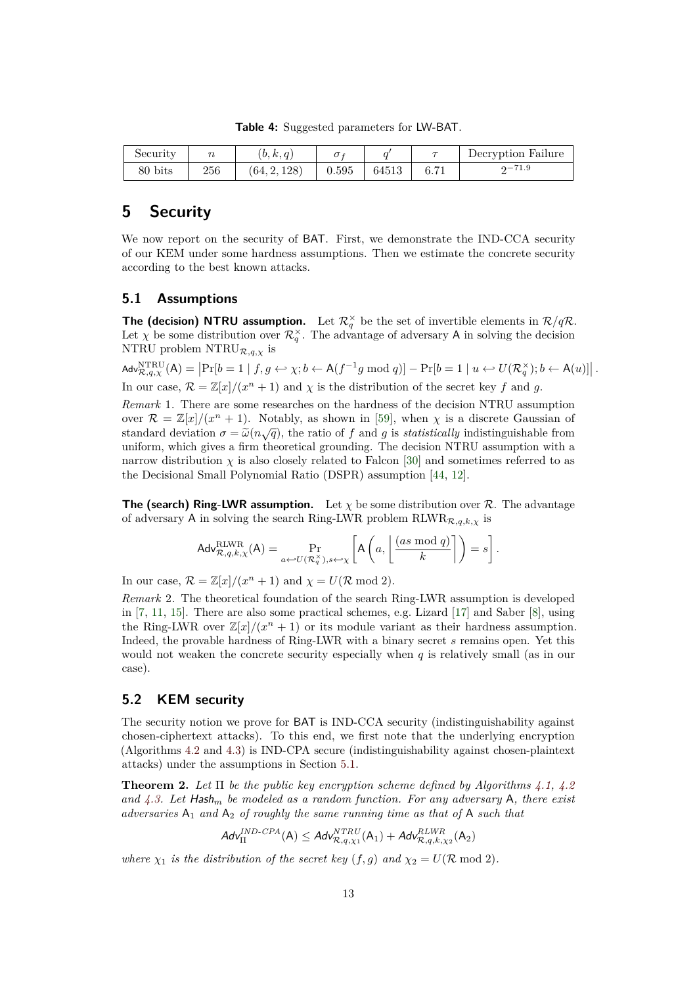**Table 4:** Suggested parameters for LW-BAT.

| Security |     | (b, k, q)    |       |       |      | Decryption Failure |
|----------|-----|--------------|-------|-------|------|--------------------|
| 80 bits  | 256 | (64, 2, 128) | 0.595 | 64513 | 6.71 | $2 - 71.9$         |

# **5 Security**

We now report on the security of BAT. First, we demonstrate the IND-CCA security of our KEM under some hardness assumptions. Then we estimate the concrete security according to the best known attacks.

#### **5.1 Assumptions**

**The (decision) NTRU assumption.** Let  $\mathcal{R}^{\times}_q$  be the set of invertible elements in  $\mathcal{R}/q\mathcal{R}$ . Let  $\chi$  be some distribution over  $\mathcal{R}_q^{\times}$ . The advantage of adversary A in solving the decision NTRU problem  $\text{NTRU}_{\mathcal{R},q,\chi}$  is

 $\mathsf{Adv}_{\mathcal{R},q,\chi}^{\mathsf{NTRU}}(\mathsf{A}) = \left| \Pr[b=1 \mid f,g \leftrightarrow \chi; b \leftarrow \mathsf{A}(f^{-1}g \bmod q) \right] - \Pr[b=1 \mid u \leftrightarrow U(\mathcal{R}_q^{\times}); b \leftarrow \mathsf{A}(u)] \right|.$ In our case,  $\mathcal{R} = \mathbb{Z}[x]/(x^n + 1)$  and  $\chi$  is the distribution of the secret key f and g.

*Remark* 1*.* There are some researches on the hardness of the decision NTRU assumption over  $\mathcal{R} = \mathbb{Z}[x]/(x^n + 1)$ . Notably, as shown in [59], when  $\chi$  is a discrete Gaussian of standard deviation  $\sigma = \tilde{\omega}(n\sqrt{q})$ , the ratio of *f* and *g* is *statistically* indistinguishable from uniform which gives a firm theoretical grounding. The decision NTRH assumption with a uniform, which gives a firm theoretical grounding. The decision NTRU assumption with a narrow distribution  $\chi$  is also closely related to Falcon [30] and sometimes referred to as the Decisional Small Polynomial Ratio (DSPR) assumption [44, 12].

**The (search) Ring-LWR assumption.** Let  $\chi$  be some distribution over  $\mathcal{R}$ . The advantage of adversary A in solving the search Ring-LWR problem  $RLWR_{R,q,k,\chi}$  is

$$
\mathsf{Adv}_{\mathcal{R},q,k,\chi}^{\text{RLWR}}(\mathsf{A}) = \Pr_{a \leftarrow U(\mathcal{R}_q^{\times}), s \leftarrow \chi} \left[ \mathsf{A}\left(a, \left\lfloor \frac{(as \bmod q)}{k} \right\rfloor\right) = s \right].
$$

In our case,  $\mathcal{R} = \mathbb{Z}[x]/(x^n + 1)$  and  $\chi = U(\mathcal{R} \mod 2)$ .

*Remark* 2*.* The theoretical foundation of the search Ring-LWR assumption is developed in [7, 11, 15]. There are also some practical schemes, e.g. Lizard [17] and Saber [8], using the Ring-LWR over  $\mathbb{Z}[x]/(x^n + 1)$  or its module variant as their hardness assumption. Indeed, the provable hardness of Ring-LWR with a binary secret *s* remains open. Yet this would not weaken the concrete security especially when *q* is relatively small (as in our case).

#### **5.2 KEM security**

The security notion we prove for BAT is IND-CCA security (indistinguishability against chosen-ciphertext attacks). To this end, we first note that the underlying encryption (Algorithms 4.2 and 4.3) is IND-CPA secure (indistinguishability against chosen-plaintext attacks) under the assumptions in Section 5.1.

**Theorem 2.** *Let* Π *be the public key encryption scheme defined by Algorithms 4.1, 4.2 and 4.3. Let* Hash*<sup>m</sup> be modeled as a random function. For any adversary* A*, there exist adversaries* A<sup>1</sup> *and* A<sup>2</sup> *of roughly the same running time as that of* A *such that*

$$
\mathcal{A} \mathsf{d} \mathsf{v}^{IND\text{-}\mathit{CPA}}_\Pi (\mathsf{A}) \leq \mathcal{A} \mathsf{d} \mathsf{v}^{NTRU}_{\mathcal{R},q,\chi_1} (\mathsf{A}_1) + \mathcal{A} \mathsf{d} \mathsf{v}^{RLWR}_{\mathcal{R},q,k,\chi_2} (\mathsf{A}_2)
$$

*where*  $\chi_1$  *is the distribution of the secret key*  $(f, g)$  *and*  $\chi_2 = U(\mathcal{R} \text{ mod } 2)$ *.*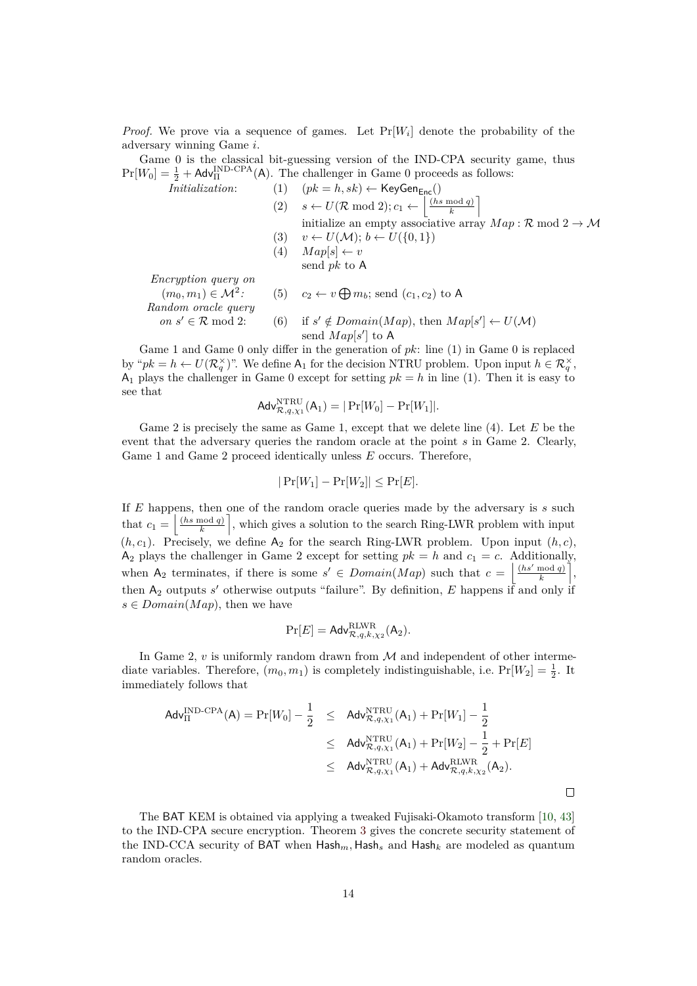*Proof.* We prove via a sequence of games. Let  $Pr[W_i]$  denote the probability of the adversary winning Game *i*.

Game 0 is the classical bit-guessing version of the IND-CPA security game, thus  $Pr[W_0] = \frac{1}{2} + \text{Adv}_{\Pi}^{\text{IND-CPA}}(A)$ . The challenger in Game 0 proceeds as follows:

Initialization:

\n(1) 
$$
(pk = h, sk) \leftarrow \text{KeyGen}_{\text{Enc}}()
$$

\n(2)  $s \leftarrow U(\mathcal{R} \mod 2); c_1 \leftarrow \left\lfloor \frac{(hs \mod q)}{k} \right\rfloor$ 

\ninitialize an empty associative array  $Map: \mathcal{R} \mod 2 \rightarrow \mathcal{M}$ 

\n(3)  $v \leftarrow U(\mathcal{M}); b \leftarrow U(\{0, 1\})$ 

\n(4)  $Map[s] \leftarrow v$ 

\nsend  $pk$  to  $A$ 

*Encryption query on*

 $(m_0, m_1) \in M^2$ : *:* (5)  $c_2 \leftarrow v \bigoplus m_b$ ; send  $(c_1, c_2)$  to A *Random oracle query on*  $s' \in \mathcal{R}$  mod 2: (6) if *s*  $\mathscr{C} \notin Domain(Map)$ , then  $Map[s'] \leftarrow U(\mathcal{M})$ send  $Map[s']$  to A

Game 1 and Game 0 only differ in the generation of *pk*: line (1) in Game 0 is replaced by " $pk = h \leftarrow U(\mathcal{R}_q^{\times})$ ". We define  $A_1$  for the decision NTRU problem. Upon input  $h \in \mathcal{R}_q^{\times}$ ,  $A_1$  plays the challenger in Game 0 except for setting  $pk = h$  in line (1). Then it is easy to see that

$$
\mathsf{Adv}_{\mathcal{R},q,\chi_1}^{\mathrm{NTRU}}(\mathsf{A}_1) = |\Pr[W_0] - \Pr[W_1]|.
$$

Game 2 is precisely the same as Game 1, except that we delete line (4). Let *E* be the event that the adversary queries the random oracle at the point *s* in Game 2. Clearly, Game 1 and Game 2 proceed identically unless *E* occurs. Therefore,

$$
|\Pr[W_1] - \Pr[W_2]| \le \Pr[E].
$$

If *E* happens, then one of the random oracle queries made by the adversary is *s* such that  $c_1 = \left| \frac{(hs \mod q)}{k} \right|$  $\left(\frac{p^{n} \cdot q}{k}\right)$ , which gives a solution to the search Ring-LWR problem with input  $(h, c_1)$ . Precisely, we define  $A_2$  for the search Ring-LWR problem. Upon input  $(h, c)$ ,  $A_2$  plays the challenger in Game 2 except for setting  $pk = h$  and  $c_1 = c$ . Additionally, when  $A_2$  terminates, if there is some  $s' \in Domain(Map)$  such that  $c = \frac{\left|\frac{(hs' \mod q)}{k}\right|}{s}$  $\left\lfloor \frac{mod\ q}{k} \right\rfloor,$ then  $A_2$  outputs *s'* otherwise outputs "failure". By definition, *E* happens if and only if  $s \in Domain(Map)$ , then we have

$$
\Pr[E] = \mathsf{Adv}_{\mathcal{R},q,k,\chi_2}^{\rm RLWR}(\mathsf{A}_2).
$$

In Game 2,  $v$  is uniformly random drawn from  $\mathcal M$  and independent of other intermediate variables. Therefore,  $(m_0, m_1)$  is completely indistinguishable, i.e.  $Pr[W_2] = \frac{1}{2}$ . It immediately follows that

$$
Adv_{\Pi}^{\text{IND-CPA}}(A) = Pr[W_0] - \frac{1}{2} \leq Adv_{\mathcal{R},q,\chi_1}^{\text{NTRU}}(A_1) + Pr[W_1] - \frac{1}{2}
$$
  
 
$$
\leq Adv_{\mathcal{R},q,\chi_1}^{\text{NTRU}}(A_1) + Pr[W_2] - \frac{1}{2} + Pr[E]
$$
  
 
$$
\leq Adv_{\mathcal{R},q,\chi_1}^{\text{NTRU}}(A_1) + Adv_{\mathcal{R},q,k,\chi_2}^{\text{MLWR}}(A_2).
$$

The BAT KEM is obtained via applying a tweaked Fujisaki-Okamoto transform [10, 43] to the IND-CPA secure encryption. Theorem 3 gives the concrete security statement of the IND-CCA security of BAT when Hash*m,* Hash*<sup>s</sup>* and Hash*<sup>k</sup>* are modeled as quantum random oracles.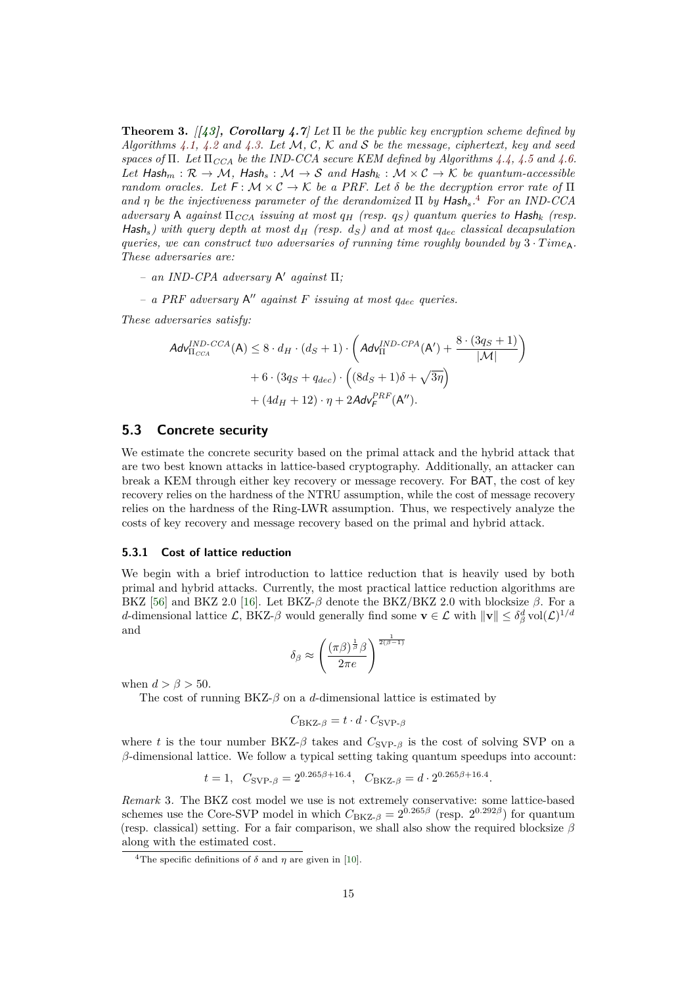**Theorem 3.** *[[43], Corollary 4.7] Let* Π *be the public key encryption scheme defined by Algorithms 4.1, 4.2 and 4.3. Let* M*,* C*,* K *and* S *be the message, ciphertext, key and seed spaces of* Π*. Let* Π*CCA be the IND-CCA secure KEM defined by Algorithms 4.4, 4.5 and 4.6. Let*  $\textsf{Hash}_m : \mathcal{R} \to \mathcal{M}$ ,  $\textsf{Hash}_s : \mathcal{M} \to \mathcal{S}$  and  $\textsf{Hash}_k : \mathcal{M} \times \mathcal{C} \to \mathcal{K}$  be quantum-accessible *random oracles. Let*  $F : \mathcal{M} \times \mathcal{C} \to \mathcal{K}$  *be a PRF. Let*  $\delta$  *be the decryption error rate of*  $\Pi$ *and η be the injectiveness parameter of the derandomized* Π *by* Hash*s.* 4 *For an IND-CCA adversary* A *against*  $\Pi_{CCA}$  *issuing at most*  $q_H$  (resp.  $q_S$ ) quantum queries to Hash<sub>k</sub> (resp. Hash<sub>s</sub>) with query depth at most  $d_H$  (resp.  $d_S$ ) and at most  $q_{dec}$  classical decapsulation *queries, we can construct two adversaries of running time roughly bounded by*  $3 \cdot Time_A$ . *These adversaries are:*

*– an IND-CPA adversary* A <sup>0</sup> *against* Π*;*

*– a PRF adversary* A <sup>00</sup> *against F issuing at most qdec queries.*

*These adversaries satisfy:*

$$
Adv_{\Pi_{CCA}}^{IND-CCA}(A) \leq 8 \cdot d_H \cdot (d_S + 1) \cdot \left( Adv_{\Pi}^{IND-CPA}(A') + \frac{8 \cdot (3q_S + 1)}{|\mathcal{M}|} \right) + 6 \cdot (3q_S + q_{dec}) \cdot \left( (8d_S + 1)\delta + \sqrt{3\eta} \right) + (4d_H + 12) \cdot \eta + 2Adv_F^{PRF}(A'').
$$

#### **5.3 Concrete security**

We estimate the concrete security based on the primal attack and the hybrid attack that are two best known attacks in lattice-based cryptography. Additionally, an attacker can break a KEM through either key recovery or message recovery. For BAT, the cost of key recovery relies on the hardness of the NTRU assumption, while the cost of message recovery relies on the hardness of the Ring-LWR assumption. Thus, we respectively analyze the costs of key recovery and message recovery based on the primal and hybrid attack.

#### **5.3.1 Cost of lattice reduction**

We begin with a brief introduction to lattice reduction that is heavily used by both primal and hybrid attacks. Currently, the most practical lattice reduction algorithms are BKZ [56] and BKZ 2.0 [16]. Let BKZ- $β$  denote the BKZ/BKZ 2.0 with blocksize  $β$ . For a *d*-dimensional lattice L, BKZ- $\beta$  would generally find some  $\mathbf{v} \in \mathcal{L}$  with  $\|\mathbf{v}\| \leq \delta_{\beta}^{d} \text{vol}(\mathcal{L})^{1/d}$ and

$$
\delta_{\beta} \approx \left(\frac{(\pi \beta)^{\frac{1}{\beta}} \beta}{2\pi e}\right)^{\frac{1}{2(\beta-1)}}
$$

when  $d > \beta > 50$ .

The cost of running  $BKZ-\beta$  on a *d*-dimensional lattice is estimated by

$$
C_{\text{BKZ-}\beta} = t \cdot d \cdot C_{\text{SVP-}\beta}
$$

where *t* is the tour number BKZ- $\beta$  takes and  $C_{\text{SVP-}\beta}$  is the cost of solving SVP on a *β*-dimensional lattice. We follow a typical setting taking quantum speedups into account:

$$
t = 1
$$
,  $C_{SVP-\beta} = 2^{0.265\beta + 16.4}$ ,  $C_{BKZ-\beta} = d \cdot 2^{0.265\beta + 16.4}$ 

*.*

*Remark* 3*.* The BKZ cost model we use is not extremely conservative: some lattice-based schemes use the Core-SVP model in which  $C_{B KZ-\beta} = 2^{0.265\beta}$  (resp.  $2^{0.292\beta}$ ) for quantum (resp. classical) setting. For a fair comparison, we shall also show the required blocksize *β* along with the estimated cost.

<sup>&</sup>lt;sup>4</sup>The specific definitions of  $\delta$  and  $\eta$  are given in [10].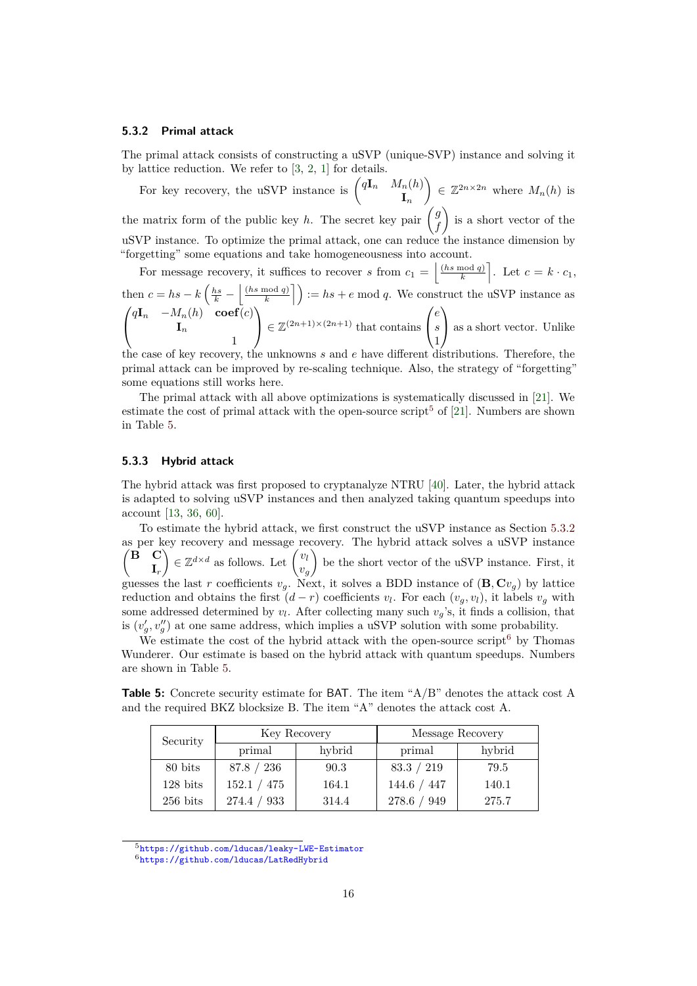#### **5.3.2 Primal attack**

The primal attack consists of constructing a uSVP (unique-SVP) instance and solving it by lattice reduction. We refer to [3, 2, 1] for details.

For key recovery, the uSVP instance is  $\begin{pmatrix} q\mathbf{I}_n & M_n(h) \\ \mathbf{I} & \mathbf{I} \end{pmatrix}$ **I***n*  $\Big) \in \mathbb{Z}^{2n \times 2n}$  where  $M_n(h)$  is the matrix form of the public key *h*. The secret key pair  $\begin{pmatrix} g \\ h \end{pmatrix}$ *f*  $\bigg\}$  is a short vector of the uSVP instance. To optimize the primal attack, one can reduce the instance dimension by "forgetting" some equations and take homogeneousness into account.

For message recovery, it suffices to recover *s* from  $c_1 = \frac{h s \mod q}{k}$  $\left[\frac{\text{mod } q}{k}\right]$ . Let  $c = k \cdot c_1$ , then  $c = hs - k \left(\frac{hs}{k} - \frac{ls \mod q}{k}\right)$  $\left(\frac{p \mod q}{k}\right) := hs + e \mod q$ . We construct the uSVP instance as  $\sqrt{ }$  $\mathcal{L}$  $q**I**<sub>n</sub>$  −*M*<sub>*n*</sub>(*h*) **coef**(*c*) **I***n* 1  $\setminus$  $\in \mathbb{Z}^{(2n+1)\times (2n+1)}$  that contains  $\sqrt{ }$  $\overline{1}$ *e s* 1  $\setminus$ as a short vector. Unlike

the case of key recovery, the unknowns *s* and *e* have different distributions. Therefore, the primal attack can be improved by re-scaling technique. Also, the strategy of "forgetting" some equations still works here.

The primal attack with all above optimizations is systematically discussed in [21]. We estimate the cost of primal attack with the open-source script<sup>5</sup> of [21]. Numbers are shown in Table 5.

#### **5.3.3 Hybrid attack**

The hybrid attack was first proposed to cryptanalyze NTRU [40]. Later, the hybrid attack is adapted to solving uSVP instances and then analyzed taking quantum speedups into account [13, 36, 60].

To estimate the hybrid attack, we first construct the uSVP instance as Section 5.3.2 as per key recovery and message recovery. The hybrid attack solves a uSVP instance **B C I***r*  $\left\{ \in \mathbb{Z}^{d \times d} \text{ as follows. Let } \int_{a}^{b} v \right\}$ *vg* be the short vector of the uSVP instance. First, it guesses the last *r* coefficients  $v_g$ . Next, it solves a BDD instance of  $(\mathbf{B}, \mathbf{C}v_g)$  by lattice reduction and obtains the first  $(d - r)$  coefficients  $v_l$ . For each  $(v_g, v_l)$ , it labels  $v_g$  with some addressed determined by  $v_l$ . After collecting many such  $v_g$ 's, it finds a collision, that is  $(v'_g, v''_g)$  at one same address, which implies a uSVP solution with some probability.

We estimate the cost of the hybrid attack with the open-source script<sup>6</sup> by Thomas Wunderer. Our estimate is based on the hybrid attack with quantum speedups. Numbers are shown in Table 5.

**Table 5:** Concrete security estimate for BAT. The item "A/B" denotes the attack cost A and the required BKZ blocksize B. The item "A" denotes the attack cost A.

| Security           |                | Key Recovery | Message Recovery |        |  |
|--------------------|----------------|--------------|------------------|--------|--|
|                    | primal         | hybrid       | primal           | hybrid |  |
| 80 bits            | 87.8 / 236     | 90.3         | 83.3 / 219       | 79.5   |  |
| $128 \text{ bits}$ | 152.1 / 475    | 164.1        | 144.6 / 447      | 140.1  |  |
| $256$ bits         | 274.4 /<br>933 | 314.4        | 278.6 / 949      | 275.7  |  |

<sup>5</sup><https://github.com/lducas/leaky-LWE-Estimator>

<sup>6</sup><https://github.com/lducas/LatRedHybrid>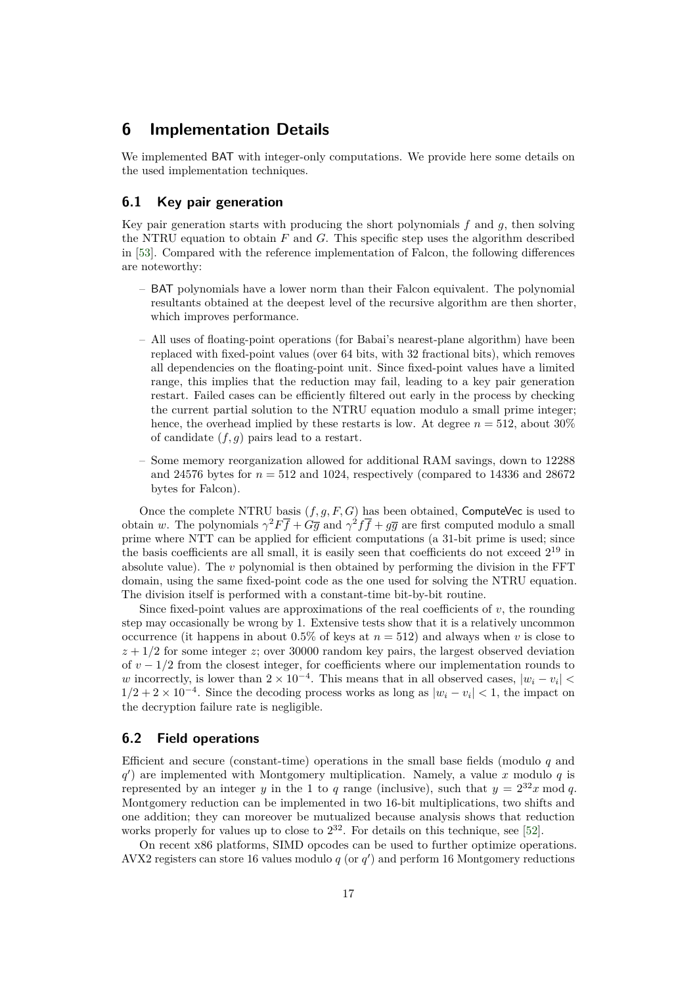# **6 Implementation Details**

We implemented BAT with integer-only computations. We provide here some details on the used implementation techniques.

#### **6.1 Key pair generation**

Key pair generation starts with producing the short polynomials *f* and *g*, then solving the NTRU equation to obtain *F* and *G*. This specific step uses the algorithm described in [53]. Compared with the reference implementation of Falcon, the following differences are noteworthy:

- BAT polynomials have a lower norm than their Falcon equivalent. The polynomial resultants obtained at the deepest level of the recursive algorithm are then shorter, which improves performance.
- All uses of floating-point operations (for Babai's nearest-plane algorithm) have been replaced with fixed-point values (over 64 bits, with 32 fractional bits), which removes all dependencies on the floating-point unit. Since fixed-point values have a limited range, this implies that the reduction may fail, leading to a key pair generation restart. Failed cases can be efficiently filtered out early in the process by checking the current partial solution to the NTRU equation modulo a small prime integer; hence, the overhead implied by these restarts is low. At degree  $n = 512$ , about 30% of candidate (*f, g*) pairs lead to a restart.
- Some memory reorganization allowed for additional RAM savings, down to 12288 and 24576 bytes for  $n = 512$  and 1024, respectively (compared to 14336 and 28672) bytes for Falcon).

Once the complete NTRU basis  $(f, q, F, G)$  has been obtained, ComputeVec is used to obtain *w*. The polynomials  $\gamma^2 F \overline{f} + G \overline{g}$  and  $\gamma^2 f \overline{f} + g \overline{g}$  are first computed modulo a small prime where NTT can be applied for efficient computations (a 31-bit prime is used; since the basis coefficients are all small, it is easily seen that coefficients do not exceed  $2^{19}$  in absolute value). The *v* polynomial is then obtained by performing the division in the FFT domain, using the same fixed-point code as the one used for solving the NTRU equation. The division itself is performed with a constant-time bit-by-bit routine.

Since fixed-point values are approximations of the real coefficients of  $v$ , the rounding step may occasionally be wrong by 1. Extensive tests show that it is a relatively uncommon occurrence (it happens in about  $0.5\%$  of keys at  $n = 512$ ) and always when *v* is close to  $z + 1/2$  for some integer *z*; over 30000 random key pairs, the largest observed deviation of  $v - 1/2$  from the closest integer, for coefficients where our implementation rounds to *w* incorrectly, is lower than  $2 \times 10^{-4}$ . This means that in all observed cases,  $|w_i - v_i|$  $1/2 + 2 \times 10^{-4}$ . Since the decoding process works as long as  $|w_i - v_i| < 1$ , the impact on the decryption failure rate is negligible.

#### **6.2 Field operations**

Efficient and secure (constant-time) operations in the small base fields (modulo *q* and *q* 0 ) are implemented with Montgomery multiplication. Namely, a value *x* modulo *q* is represented by an integer *y* in the 1 to *q* range (inclusive), such that  $y = 2^{32}x \mod q$ . Montgomery reduction can be implemented in two 16-bit multiplications, two shifts and one addition; they can moreover be mutualized because analysis shows that reduction works properly for values up to close to  $2^{32}$ . For details on this technique, see [52].

On recent x86 platforms, SIMD opcodes can be used to further optimize operations. AVX2 registers can store 16 values modulo  $q$  (or  $q'$ ) and perform 16 Montgomery reductions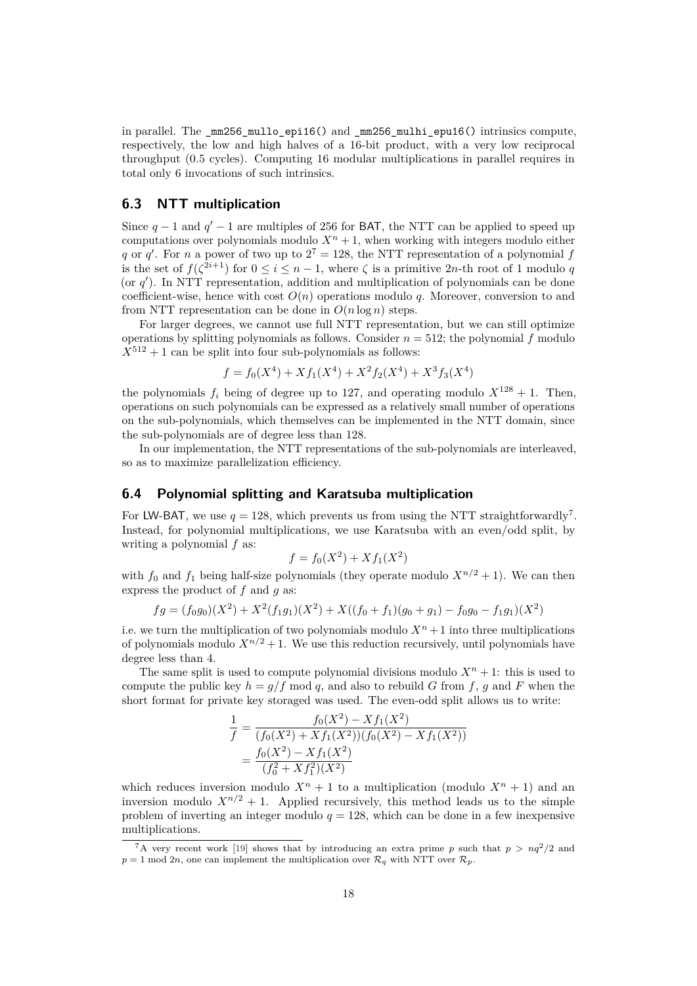in parallel. The \_mm256\_mullo\_epi16() and \_mm256\_mulhi\_epu16() intrinsics compute, respectively, the low and high halves of a 16-bit product, with a very low reciprocal throughput (0.5 cycles). Computing 16 modular multiplications in parallel requires in total only 6 invocations of such intrinsics.

### **6.3 NTT multiplication**

Since  $q-1$  and  $q'-1$  are multiples of 256 for BAT, the NTT can be applied to speed up computations over polynomials modulo  $X^n + 1$ , when working with integers modulo either *q* or *q*<sup>'</sup>. For *n* a power of two up to  $2^7 = 128$ , the NTT representation of a polynomial *f* is the set of  $f(\zeta^{2i+1})$  for  $0 \leq i \leq n-1$ , where  $\zeta$  is a primitive 2*n*-th root of 1 modulo *q* (or  $q'$ ). In NTT representation, addition and multiplication of polynomials can be done coefficient-wise, hence with cost  $O(n)$  operations modulo q. Moreover, conversion to and from NTT representation can be done in  $O(n \log n)$  steps.

For larger degrees, we cannot use full NTT representation, but we can still optimize operations by splitting polynomials as follows. Consider  $n = 512$ ; the polynomial  $f$  modulo  $X^{512} + 1$  can be split into four sub-polynomials as follows:

$$
f = f_0(X^4) + Xf_1(X^4) + X^2f_2(X^4) + X^3f_3(X^4)
$$

the polynomials  $f_i$  being of degree up to 127, and operating modulo  $X^{128} + 1$ . Then, operations on such polynomials can be expressed as a relatively small number of operations on the sub-polynomials, which themselves can be implemented in the NTT domain, since the sub-polynomials are of degree less than 128.

In our implementation, the NTT representations of the sub-polynomials are interleaved, so as to maximize parallelization efficiency.

#### **6.4 Polynomial splitting and Karatsuba multiplication**

For LW-BAT, we use  $q = 128$ , which prevents us from using the NTT straightforwardly<sup>7</sup>. Instead, for polynomial multiplications, we use Karatsuba with an even/odd split, by writing a polynomial *f* as:

$$
f = f_0(X^2) + X f_1(X^2)
$$

with  $f_0$  and  $f_1$  being half-size polynomials (they operate modulo  $X^{n/2} + 1$ ). We can then express the product of *f* and *g* as:

$$
fg = (f_0g_0)(X^2) + X^2(f_1g_1)(X^2) + X((f_0 + f_1)(g_0 + g_1) - f_0g_0 - f_1g_1)(X^2)
$$

i.e. we turn the multiplication of two polynomials modulo  $X<sup>n</sup> + 1$  into three multiplications of polynomials modulo  $X^{n/2} + 1$ . We use this reduction recursively, until polynomials have degree less than 4.

The same split is used to compute polynomial divisions modulo  $X<sup>n</sup> + 1$ : this is used to compute the public key  $h = q/f \mod q$ , and also to rebuild *G* from *f*, *q* and *F* when the short format for private key storaged was used. The even-odd split allows us to write:

$$
\frac{1}{f} = \frac{f_0(X^2) - X f_1(X^2)}{(f_0(X^2) + X f_1(X^2))(f_0(X^2) - X f_1(X^2))}
$$
\n
$$
= \frac{f_0(X^2) - X f_1(X^2)}{(f_0^2 + X f_1^2)(X^2)}
$$

which reduces inversion modulo  $X^n + 1$  to a multiplication (modulo  $X^n + 1$ ) and an inversion modulo  $X^{n/2} + 1$ . Applied recursively, this method leads us to the simple problem of inverting an integer modulo  $q = 128$ , which can be done in a few inexpensive multiplications.

<sup>&</sup>lt;sup>7</sup>A very recent work [19] shows that by introducing an extra prime *p* such that  $p > nq^2/2$  and  $p = 1$  mod 2*n*, one can implement the multiplication over  $\mathcal{R}_q$  with NTT over  $\mathcal{R}_p$ .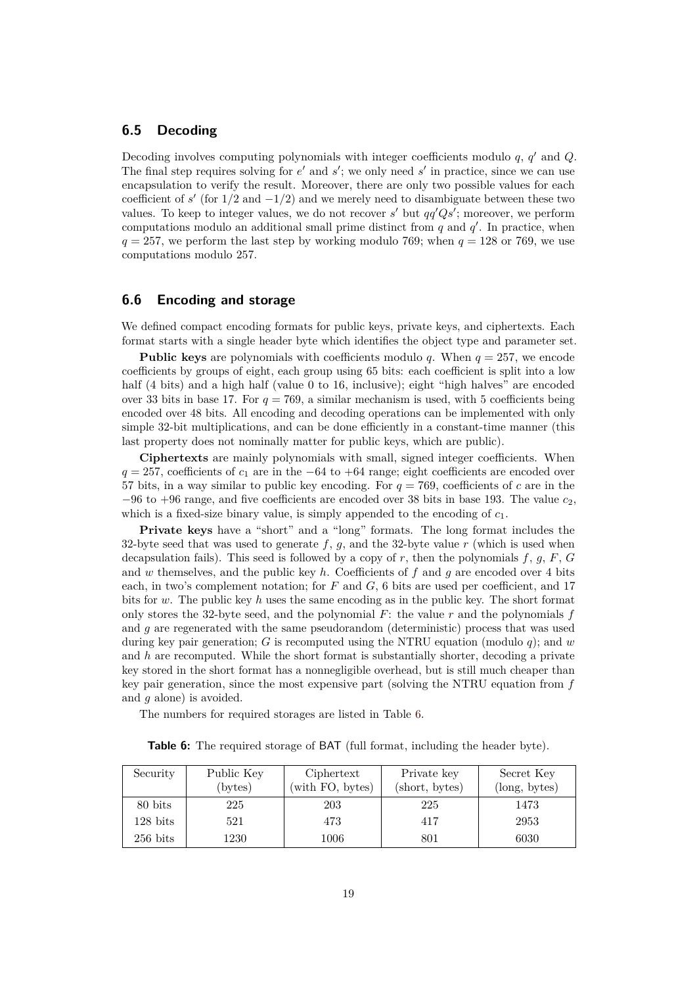#### **6.5 Decoding**

Decoding involves computing polynomials with integer coefficients modulo *q*, *q* <sup>0</sup> and *Q*. The final step requires solving for  $e'$  and  $s'$ ; we only need  $s'$  in practice, since we can use encapsulation to verify the result. Moreover, there are only two possible values for each coefficient of  $s'$  (for  $1/2$  and  $-1/2$ ) and we merely need to disambiguate between these two values. To keep to integer values, we do not recover  $s'$  but  $qq'Qs'$ ; moreover, we perform computations modulo an additional small prime distinct from  $q$  and  $q'$ . In practice, when  $q = 257$ , we perform the last step by working modulo 769; when  $q = 128$  or 769, we use computations modulo 257.

### **6.6 Encoding and storage**

We defined compact encoding formats for public keys, private keys, and ciphertexts. Each format starts with a single header byte which identifies the object type and parameter set.

**Public keys** are polynomials with coefficients modulo *q*. When  $q = 257$ , we encode coefficients by groups of eight, each group using 65 bits: each coefficient is split into a low half (4 bits) and a high half (value 0 to 16, inclusive); eight "high halves" are encoded over 33 bits in base 17. For  $q = 769$ , a similar mechanism is used, with 5 coefficients being encoded over 48 bits. All encoding and decoding operations can be implemented with only simple 32-bit multiplications, and can be done efficiently in a constant-time manner (this last property does not nominally matter for public keys, which are public).

**Ciphertexts** are mainly polynomials with small, signed integer coefficients. When  $q = 257$ , coefficients of  $c_1$  are in the −64 to +64 range; eight coefficients are encoded over 57 bits, in a way similar to public key encoding. For  $q = 769$ , coefficients of c are in the  $-96$  to  $+96$  range, and five coefficients are encoded over 38 bits in base 193. The value  $c_2$ , which is a fixed-size binary value, is simply appended to the encoding of  $c_1$ .

Private keys have a "short" and a "long" formats. The long format includes the 32-byte seed that was used to generate  $f$ ,  $g$ , and the 32-byte value  $r$  (which is used when decapsulation fails). This seed is followed by a copy of *r*, then the polynomials *f*, *g*, *F*, *G* and *w* themselves, and the public key *h*. Coefficients of *f* and *g* are encoded over 4 bits each, in two's complement notation; for *F* and *G*, 6 bits are used per coefficient, and 17 bits for *w*. The public key *h* uses the same encoding as in the public key. The short format only stores the 32-byte seed, and the polynomial *F*: the value *r* and the polynomials *f* and *g* are regenerated with the same pseudorandom (deterministic) process that was used during key pair generation; *G* is recomputed using the NTRU equation (modulo *q*); and *w* and *h* are recomputed. While the short format is substantially shorter, decoding a private key stored in the short format has a nonnegligible overhead, but is still much cheaper than key pair generation, since the most expensive part (solving the NTRU equation from *f* and *g* alone) is avoided.

The numbers for required storages are listed in Table 6.

|  | Table 6: The required storage of BAT (full format, including the header byte). |  |  |  |  |  |  |  |  |  |
|--|--------------------------------------------------------------------------------|--|--|--|--|--|--|--|--|--|
|--|--------------------------------------------------------------------------------|--|--|--|--|--|--|--|--|--|

| Security           | Public Key | Ciphertext       | Private key    | Secret Key    |
|--------------------|------------|------------------|----------------|---------------|
|                    | (bytes)    | (with FO, bytes) | (short, bytes) | (long, bytes) |
| 80 bits            | 225        | 203              | 225            | 1473          |
| $128 \text{ bits}$ | 521        | 473              | 417            | 2953          |
| $256$ bits         | 1230       | 1006             | 801            | 6030          |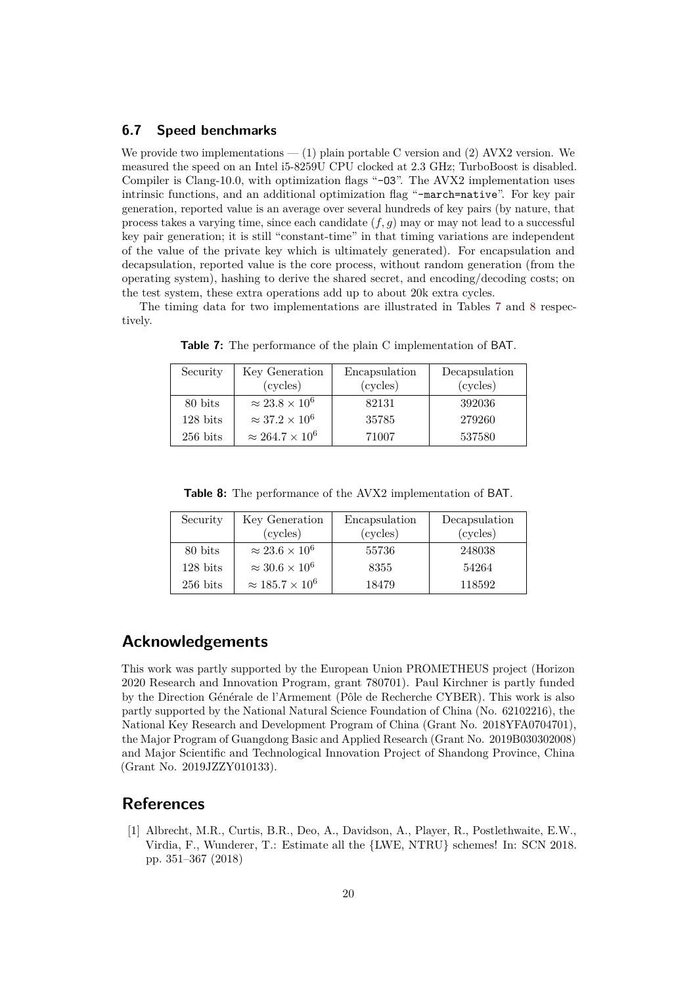#### **6.7 Speed benchmarks**

We provide two implementations  $- (1)$  plain portable C version and  $(2)$  AVX2 version. We measured the speed on an Intel i5-8259U CPU clocked at 2.3 GHz; TurboBoost is disabled. Compiler is Clang-10.0, with optimization flags "-03". The AVX2 implementation uses intrinsic functions, and an additional optimization flag "-march=native". For key pair generation, reported value is an average over several hundreds of key pairs (by nature, that process takes a varying time, since each candidate  $(f, g)$  may or may not lead to a successful key pair generation; it is still "constant-time" in that timing variations are independent of the value of the private key which is ultimately generated). For encapsulation and decapsulation, reported value is the core process, without random generation (from the operating system), hashing to derive the shared secret, and encoding/decoding costs; on the test system, these extra operations add up to about 20k extra cycles.

The timing data for two implementations are illustrated in Tables 7 and 8 respectively.

| Security   | Key Generation              | Encapsulation |          |
|------------|-----------------------------|---------------|----------|
|            | (cycles)                    | (cycles)      | (cycles) |
| 80 bits    | $\approx 23.8 \times 10^6$  | 82131         | 392036   |
| $128$ bits | $\approx 37.2 \times 10^6$  | 35785         | 279260   |
| $256$ bits | $\approx 264.7 \times 10^6$ | 71007         | 537580   |

**Table 7:** The performance of the plain C implementation of BAT.

**Table 8:** The performance of the AVX2 implementation of BAT.

| Security   | Key Generation              | Encapsulation | Decapsulation |
|------------|-----------------------------|---------------|---------------|
|            | (cycles)                    | (cycles)      | (cycles)      |
| 80 bits    | $\approx 23.6 \times 10^6$  | 55736         | 248038        |
| $128$ bits | $\approx 30.6 \times 10^6$  | 8355          | 54264         |
| $256$ bits | $\approx 185.7 \times 10^6$ | 18479         | 118592        |

### **Acknowledgements**

This work was partly supported by the European Union PROMETHEUS project (Horizon 2020 Research and Innovation Program, grant 780701). Paul Kirchner is partly funded by the Direction Générale de l'Armement (Pôle de Recherche CYBER). This work is also partly supported by the National Natural Science Foundation of China (No. 62102216), the National Key Research and Development Program of China (Grant No. 2018YFA0704701), the Major Program of Guangdong Basic and Applied Research (Grant No. 2019B030302008) and Major Scientific and Technological Innovation Project of Shandong Province, China (Grant No. 2019JZZY010133).

### **References**

[1] Albrecht, M.R., Curtis, B.R., Deo, A., Davidson, A., Player, R., Postlethwaite, E.W., Virdia, F., Wunderer, T.: Estimate all the {LWE, NTRU} schemes! In: SCN 2018. pp. 351–367 (2018)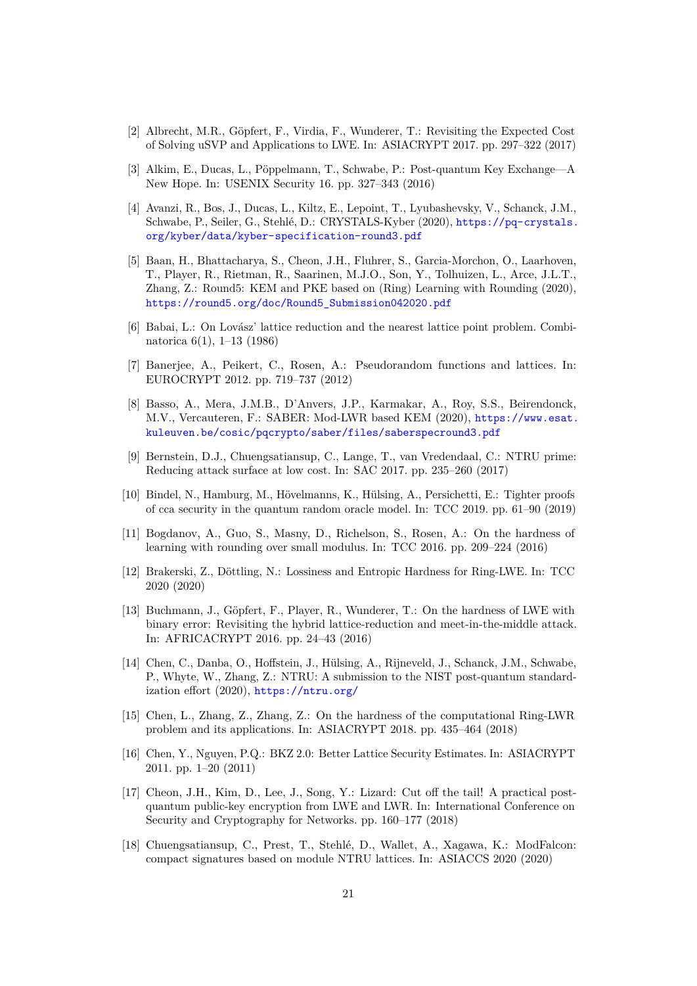- [2] Albrecht, M.R., Göpfert, F., Virdia, F., Wunderer, T.: Revisiting the Expected Cost of Solving uSVP and Applications to LWE. In: ASIACRYPT 2017. pp. 297–322 (2017)
- [3] Alkim, E., Ducas, L., Pöppelmann, T., Schwabe, P.: Post-quantum Key Exchange—A New Hope. In: USENIX Security 16. pp. 327–343 (2016)
- [4] Avanzi, R., Bos, J., Ducas, L., Kiltz, E., Lepoint, T., Lyubashevsky, V., Schanck, J.M., Schwabe, P., Seiler, G., Stehlé, D.: CRYSTALS-Kyber (2020), [https://pq-crystals.](https://pq-crystals.org/kyber/data/kyber-specification-round3.pdf) [org/kyber/data/kyber-specification-round3.pdf](https://pq-crystals.org/kyber/data/kyber-specification-round3.pdf)
- [5] Baan, H., Bhattacharya, S., Cheon, J.H., Fluhrer, S., Garcia-Morchon, O., Laarhoven, T., Player, R., Rietman, R., Saarinen, M.J.O., Son, Y., Tolhuizen, L., Arce, J.L.T., Zhang, Z.: Round5: KEM and PKE based on (Ring) Learning with Rounding (2020), [https://round5.org/doc/Round5\\_Submission042020.pdf](https://round5.org/doc/Round5_Submission042020.pdf)
- [6] Babai, L.: On Lovász' lattice reduction and the nearest lattice point problem. Combinatorica 6(1), 1–13 (1986)
- [7] Banerjee, A., Peikert, C., Rosen, A.: Pseudorandom functions and lattices. In: EUROCRYPT 2012. pp. 719–737 (2012)
- [8] Basso, A., Mera, J.M.B., D'Anvers, J.P., Karmakar, A., Roy, S.S., Beirendonck, M.V., Vercauteren, F.: SABER: Mod-LWR based KEM (2020), [https://www.esat.](https://www.esat.kuleuven.be/cosic/pqcrypto/saber/files/saberspecround3.pdf) [kuleuven.be/cosic/pqcrypto/saber/files/saberspecround3.pdf](https://www.esat.kuleuven.be/cosic/pqcrypto/saber/files/saberspecround3.pdf)
- [9] Bernstein, D.J., Chuengsatiansup, C., Lange, T., van Vredendaal, C.: NTRU prime: Reducing attack surface at low cost. In: SAC 2017. pp. 235–260 (2017)
- [10] Bindel, N., Hamburg, M., Hövelmanns, K., Hülsing, A., Persichetti, E.: Tighter proofs of cca security in the quantum random oracle model. In: TCC 2019. pp. 61–90 (2019)
- [11] Bogdanov, A., Guo, S., Masny, D., Richelson, S., Rosen, A.: On the hardness of learning with rounding over small modulus. In: TCC 2016. pp. 209–224 (2016)
- [12] Brakerski, Z., Döttling, N.: Lossiness and Entropic Hardness for Ring-LWE. In: TCC 2020 (2020)
- [13] Buchmann, J., Göpfert, F., Player, R., Wunderer, T.: On the hardness of LWE with binary error: Revisiting the hybrid lattice-reduction and meet-in-the-middle attack. In: AFRICACRYPT 2016. pp. 24–43 (2016)
- [14] Chen, C., Danba, O., Hoffstein, J., Hülsing, A., Rijneveld, J., Schanck, J.M., Schwabe, P., Whyte, W., Zhang, Z.: NTRU: A submission to the NIST post-quantum standardization effort (2020), <https://ntru.org/>
- [15] Chen, L., Zhang, Z., Zhang, Z.: On the hardness of the computational Ring-LWR problem and its applications. In: ASIACRYPT 2018. pp. 435–464 (2018)
- [16] Chen, Y., Nguyen, P.Q.: BKZ 2.0: Better Lattice Security Estimates. In: ASIACRYPT 2011. pp. 1–20 (2011)
- [17] Cheon, J.H., Kim, D., Lee, J., Song, Y.: Lizard: Cut off the tail! A practical postquantum public-key encryption from LWE and LWR. In: International Conference on Security and Cryptography for Networks. pp. 160–177 (2018)
- [18] Chuengsatiansup, C., Prest, T., Stehlé, D., Wallet, A., Xagawa, K.: ModFalcon: compact signatures based on module NTRU lattices. In: ASIACCS 2020 (2020)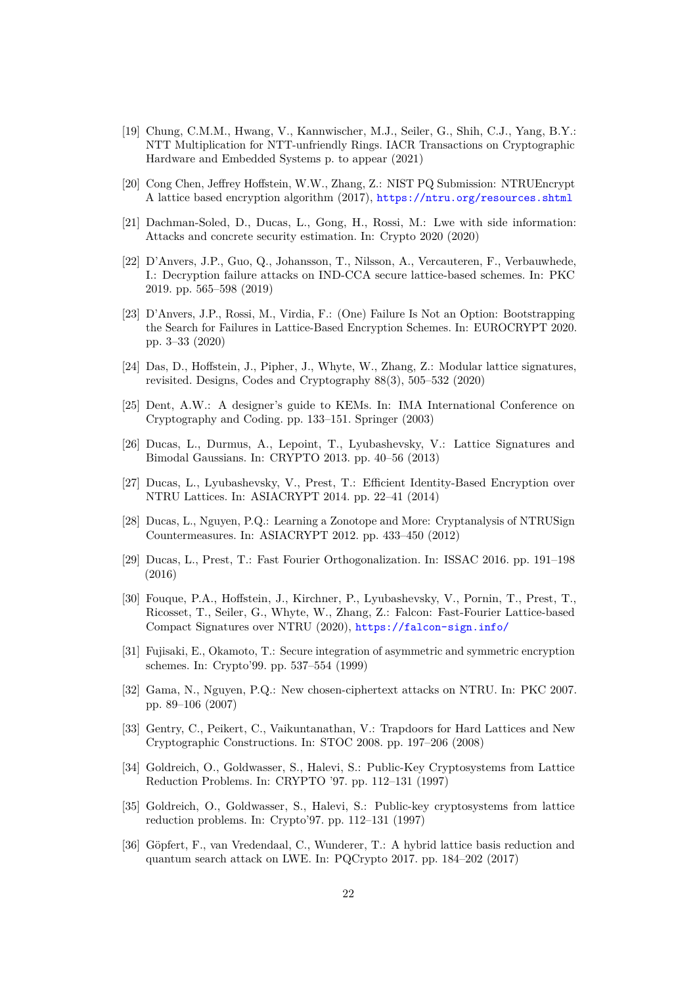- [19] Chung, C.M.M., Hwang, V., Kannwischer, M.J., Seiler, G., Shih, C.J., Yang, B.Y.: NTT Multiplication for NTT-unfriendly Rings. IACR Transactions on Cryptographic Hardware and Embedded Systems p. to appear (2021)
- [20] Cong Chen, Jeffrey Hoffstein, W.W., Zhang, Z.: NIST PQ Submission: NTRUEncrypt A lattice based encryption algorithm (2017), <https://ntru.org/resources.shtml>
- [21] Dachman-Soled, D., Ducas, L., Gong, H., Rossi, M.: Lwe with side information: Attacks and concrete security estimation. In: Crypto 2020 (2020)
- [22] D'Anvers, J.P., Guo, Q., Johansson, T., Nilsson, A., Vercauteren, F., Verbauwhede, I.: Decryption failure attacks on IND-CCA secure lattice-based schemes. In: PKC 2019. pp. 565–598 (2019)
- [23] D'Anvers, J.P., Rossi, M., Virdia, F.: (One) Failure Is Not an Option: Bootstrapping the Search for Failures in Lattice-Based Encryption Schemes. In: EUROCRYPT 2020. pp. 3–33 (2020)
- [24] Das, D., Hoffstein, J., Pipher, J., Whyte, W., Zhang, Z.: Modular lattice signatures, revisited. Designs, Codes and Cryptography 88(3), 505–532 (2020)
- [25] Dent, A.W.: A designer's guide to KEMs. In: IMA International Conference on Cryptography and Coding. pp. 133–151. Springer (2003)
- [26] Ducas, L., Durmus, A., Lepoint, T., Lyubashevsky, V.: Lattice Signatures and Bimodal Gaussians. In: CRYPTO 2013. pp. 40–56 (2013)
- [27] Ducas, L., Lyubashevsky, V., Prest, T.: Efficient Identity-Based Encryption over NTRU Lattices. In: ASIACRYPT 2014. pp. 22–41 (2014)
- [28] Ducas, L., Nguyen, P.Q.: Learning a Zonotope and More: Cryptanalysis of NTRUSign Countermeasures. In: ASIACRYPT 2012. pp. 433–450 (2012)
- [29] Ducas, L., Prest, T.: Fast Fourier Orthogonalization. In: ISSAC 2016. pp. 191–198 (2016)
- [30] Fouque, P.A., Hoffstein, J., Kirchner, P., Lyubashevsky, V., Pornin, T., Prest, T., Ricosset, T., Seiler, G., Whyte, W., Zhang, Z.: Falcon: Fast-Fourier Lattice-based Compact Signatures over NTRU (2020), <https://falcon-sign.info/>
- [31] Fujisaki, E., Okamoto, T.: Secure integration of asymmetric and symmetric encryption schemes. In: Crypto'99. pp. 537–554 (1999)
- [32] Gama, N., Nguyen, P.Q.: New chosen-ciphertext attacks on NTRU. In: PKC 2007. pp. 89–106 (2007)
- [33] Gentry, C., Peikert, C., Vaikuntanathan, V.: Trapdoors for Hard Lattices and New Cryptographic Constructions. In: STOC 2008. pp. 197–206 (2008)
- [34] Goldreich, O., Goldwasser, S., Halevi, S.: Public-Key Cryptosystems from Lattice Reduction Problems. In: CRYPTO '97. pp. 112–131 (1997)
- [35] Goldreich, O., Goldwasser, S., Halevi, S.: Public-key cryptosystems from lattice reduction problems. In: Crypto'97. pp. 112–131 (1997)
- [36] Göpfert, F., van Vredendaal, C., Wunderer, T.: A hybrid lattice basis reduction and quantum search attack on LWE. In: PQCrypto 2017. pp. 184–202 (2017)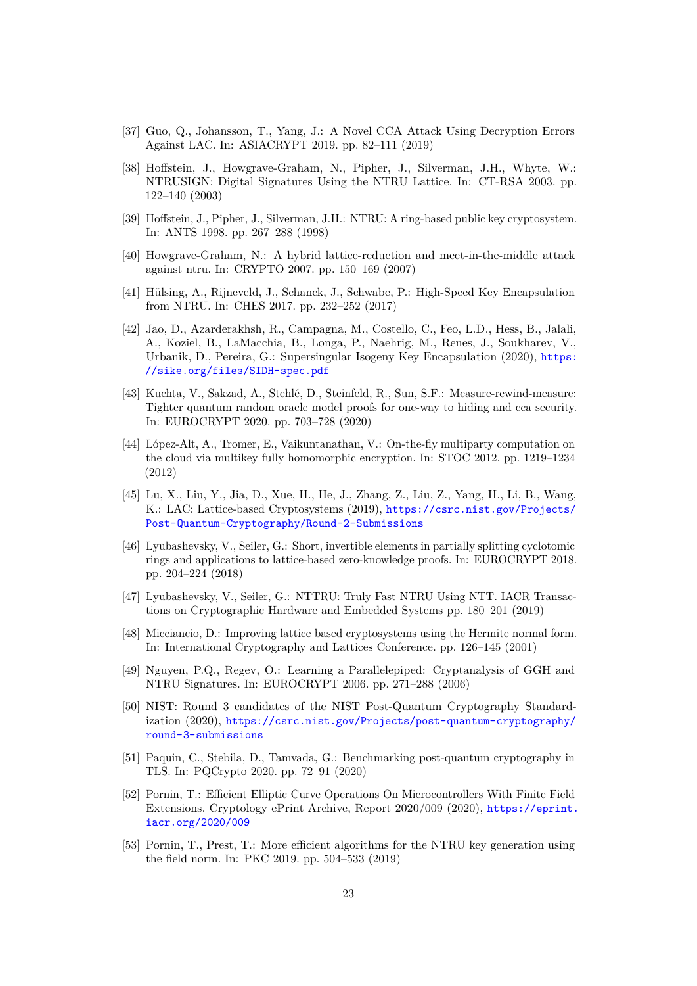- [37] Guo, Q., Johansson, T., Yang, J.: A Novel CCA Attack Using Decryption Errors Against LAC. In: ASIACRYPT 2019. pp. 82–111 (2019)
- [38] Hoffstein, J., Howgrave-Graham, N., Pipher, J., Silverman, J.H., Whyte, W.: NTRUSIGN: Digital Signatures Using the NTRU Lattice. In: CT-RSA 2003. pp. 122–140 (2003)
- [39] Hoffstein, J., Pipher, J., Silverman, J.H.: NTRU: A ring-based public key cryptosystem. In: ANTS 1998. pp. 267–288 (1998)
- [40] Howgrave-Graham, N.: A hybrid lattice-reduction and meet-in-the-middle attack against ntru. In: CRYPTO 2007. pp. 150–169 (2007)
- [41] Hülsing, A., Rijneveld, J., Schanck, J., Schwabe, P.: High-Speed Key Encapsulation from NTRU. In: CHES 2017. pp. 232–252 (2017)
- [42] Jao, D., Azarderakhsh, R., Campagna, M., Costello, C., Feo, L.D., Hess, B., Jalali, A., Koziel, B., LaMacchia, B., Longa, P., Naehrig, M., Renes, J., Soukharev, V., Urbanik, D., Pereira, G.: Supersingular Isogeny Key Encapsulation (2020), [https:](https://sike.org/files/SIDH-spec.pdf) [//sike.org/files/SIDH-spec.pdf](https://sike.org/files/SIDH-spec.pdf)
- [43] Kuchta, V., Sakzad, A., Stehlé, D., Steinfeld, R., Sun, S.F.: Measure-rewind-measure: Tighter quantum random oracle model proofs for one-way to hiding and cca security. In: EUROCRYPT 2020. pp. 703–728 (2020)
- [44] López-Alt, A., Tromer, E., Vaikuntanathan, V.: On-the-fly multiparty computation on the cloud via multikey fully homomorphic encryption. In: STOC 2012. pp. 1219–1234 (2012)
- [45] Lu, X., Liu, Y., Jia, D., Xue, H., He, J., Zhang, Z., Liu, Z., Yang, H., Li, B., Wang, K.: LAC: Lattice-based Cryptosystems (2019), [https://csrc.nist.gov/Projects/](https://csrc.nist.gov/Projects/Post-Quantum-Cryptography/Round-2-Submissions) [Post-Quantum-Cryptography/Round-2-Submissions](https://csrc.nist.gov/Projects/Post-Quantum-Cryptography/Round-2-Submissions)
- [46] Lyubashevsky, V., Seiler, G.: Short, invertible elements in partially splitting cyclotomic rings and applications to lattice-based zero-knowledge proofs. In: EUROCRYPT 2018. pp. 204–224 (2018)
- [47] Lyubashevsky, V., Seiler, G.: NTTRU: Truly Fast NTRU Using NTT. IACR Transactions on Cryptographic Hardware and Embedded Systems pp. 180–201 (2019)
- [48] Micciancio, D.: Improving lattice based cryptosystems using the Hermite normal form. In: International Cryptography and Lattices Conference. pp. 126–145 (2001)
- [49] Nguyen, P.Q., Regev, O.: Learning a Parallelepiped: Cryptanalysis of GGH and NTRU Signatures. In: EUROCRYPT 2006. pp. 271–288 (2006)
- [50] NIST: Round 3 candidates of the NIST Post-Quantum Cryptography Standardization (2020), [https://csrc.nist.gov/Projects/post-quantum-cryptography/](https://csrc.nist.gov/Projects/post-quantum-cryptography/round-3-submissions) [round-3-submissions](https://csrc.nist.gov/Projects/post-quantum-cryptography/round-3-submissions)
- [51] Paquin, C., Stebila, D., Tamvada, G.: Benchmarking post-quantum cryptography in TLS. In: PQCrypto 2020. pp. 72–91 (2020)
- [52] Pornin, T.: Efficient Elliptic Curve Operations On Microcontrollers With Finite Field Extensions. Cryptology ePrint Archive, Report 2020/009 (2020), [https://eprint.](https://eprint.iacr.org/2020/009) [iacr.org/2020/009](https://eprint.iacr.org/2020/009)
- [53] Pornin, T., Prest, T.: More efficient algorithms for the NTRU key generation using the field norm. In: PKC 2019. pp. 504–533 (2019)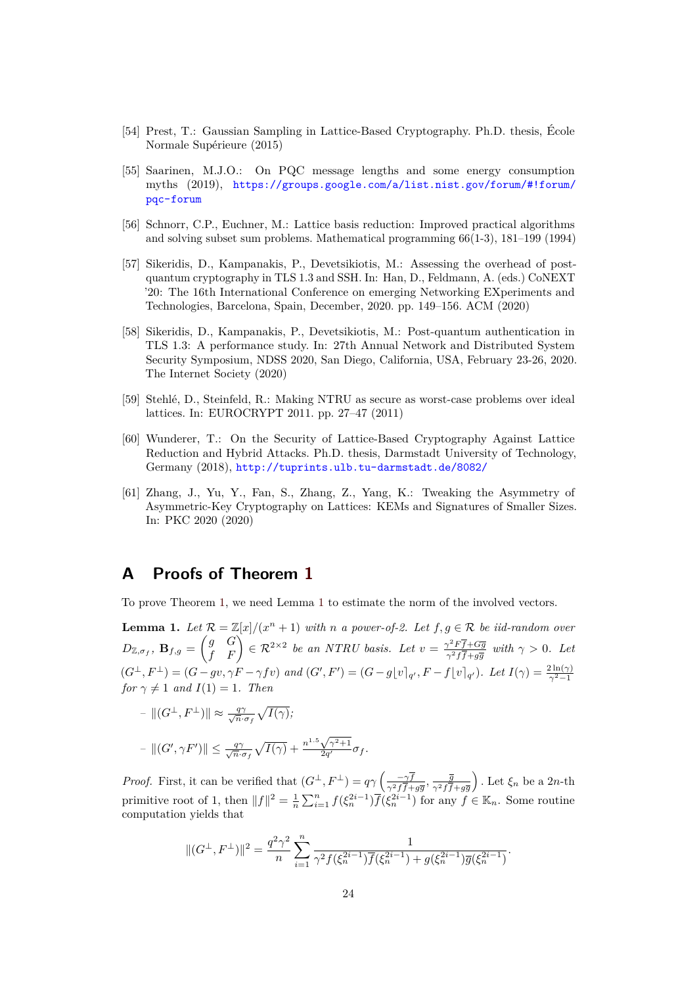- [54] Prest, T.: Gaussian Sampling in Lattice-Based Cryptography. Ph.D. thesis, École Normale Supérieure (2015)
- [55] Saarinen, M.J.O.: On PQC message lengths and some energy consumption myths (2019), [https://groups.google.com/a/list.nist.gov/forum/#!forum/](https://groups.google.com/a/list.nist.gov/forum/#!forum/pqc-forum) [pqc-forum](https://groups.google.com/a/list.nist.gov/forum/#!forum/pqc-forum)
- [56] Schnorr, C.P., Euchner, M.: Lattice basis reduction: Improved practical algorithms and solving subset sum problems. Mathematical programming 66(1-3), 181–199 (1994)
- [57] Sikeridis, D., Kampanakis, P., Devetsikiotis, M.: Assessing the overhead of postquantum cryptography in TLS 1.3 and SSH. In: Han, D., Feldmann, A. (eds.) CoNEXT '20: The 16th International Conference on emerging Networking EXperiments and Technologies, Barcelona, Spain, December, 2020. pp. 149–156. ACM (2020)
- [58] Sikeridis, D., Kampanakis, P., Devetsikiotis, M.: Post-quantum authentication in TLS 1.3: A performance study. In: 27th Annual Network and Distributed System Security Symposium, NDSS 2020, San Diego, California, USA, February 23-26, 2020. The Internet Society (2020)
- [59] Stehlé, D., Steinfeld, R.: Making NTRU as secure as worst-case problems over ideal lattices. In: EUROCRYPT 2011. pp. 27–47 (2011)
- [60] Wunderer, T.: On the Security of Lattice-Based Cryptography Against Lattice Reduction and Hybrid Attacks. Ph.D. thesis, Darmstadt University of Technology, Germany (2018), <http://tuprints.ulb.tu-darmstadt.de/8082/>
- [61] Zhang, J., Yu, Y., Fan, S., Zhang, Z., Yang, K.: Tweaking the Asymmetry of Asymmetric-Key Cryptography on Lattices: KEMs and Signatures of Smaller Sizes. In: PKC 2020 (2020)

# **A Proofs of Theorem 1**

To prove Theorem 1, we need Lemma 1 to estimate the norm of the involved vectors.

**Lemma 1.** Let  $\mathcal{R} = \mathbb{Z}[x]/(x^n + 1)$  with *n a* power-of-2. Let  $f, g \in \mathcal{R}$  be iid-random over  $D_{\mathbb{Z}, \sigma_f}$ ,  $\mathbf{B}_{f,g} = \begin{pmatrix} g & G \ f & F \end{pmatrix} \in \mathcal{R}^{2 \times 2}$  *be an NTRU basis. Let*  $v = \frac{\gamma^2 F \overline{f} + G \overline{g}}{\gamma^2 f \overline{f} + g \overline{g}}$  $\frac{\gamma^2 F f + Gg}{\gamma^2 f \overline{f} + g \overline{g}}$  with  $\gamma > 0$ . Let  $(G^{\perp}, F^{\perp}) = (G - gv, \gamma F - \gamma f v)$  and  $(G', F') = (G - g[v]_{q'}, F - f[v]_{q'})$ . Let  $I(\gamma) = \frac{2 \ln(\gamma)}{\gamma^2 - 1}$ *for*  $\gamma \neq 1$  *and*  $I(1) = 1$ *. Then* 

$$
- ||(G^{\perp}, F^{\perp})|| \approx \frac{q\gamma}{\sqrt{n} \cdot \sigma_f} \sqrt{I(\gamma)};
$$
  

$$
- ||(G', \gamma F')|| \le \frac{q\gamma}{\sqrt{n} \cdot \sigma_f} \sqrt{I(\gamma)} + \frac{n^{1.5}\sqrt{\gamma^2 + 1}}{2q'} \sigma_f.
$$

*Proof.* First, it can be verified that  $(G^{\perp}, F^{\perp}) = q\gamma \left( \frac{-\gamma \bar{f}}{2 \sqrt{f}} \right)$  $\frac{-\gamma f}{\gamma^2 f \overline{f} + g \overline{g}}$ ,  $\frac{\overline{g}}{\gamma^2 f \overline{f}}$  $\gamma^2 f f + g \overline{g}$ ). Let  $\xi_n$  be a 2*n*-th primitive root of 1, then  $||f||^2 = \frac{1}{n} \sum_{i=1}^n f(\xi_n^{2i-1}) \overline{f(\xi_n^{2i-1})}$  for any  $f \in \mathbb{K}_n$ . Some routine computation yields that

$$
\|(G^\perp, F^\perp)\|^2 = \frac{q^2\gamma^2}{n} \sum_{i=1}^n \frac{1}{\gamma^2 f(\xi_n^{2i-1}) \overline{f}(\xi_n^{2i-1}) + g(\xi_n^{2i-1}) \overline{g}(\xi_n^{2i-1})}.
$$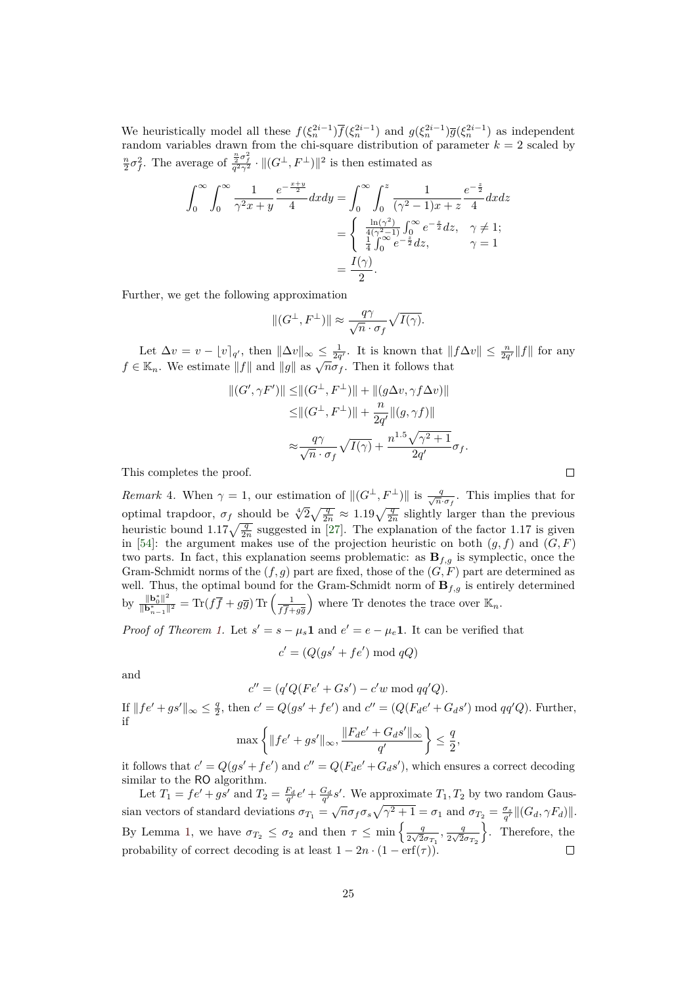We heuristically model all these  $f(\xi_n^{2i-1})\overline{f}(\xi_n^{2i-1})$  and  $g(\xi_n^{2i-1})\overline{g}(\xi_n^{2i-1})$  as independent random variables drawn from the chi-square distribution of parameter  $k = 2$  scaled by  $\frac{n}{2}\sigma_f^2$ . The average of  $\frac{\frac{n}{2}\sigma_f^2}{q^2\gamma^2} \cdot ||(G^{\perp}, F^{\perp})||^2$  is then estimated as

$$
\int_0^\infty \int_0^\infty \frac{1}{\gamma^2 x + y} \frac{e^{-\frac{x+y}{2}}}{4} dx dy = \int_0^\infty \int_0^z \frac{1}{(\gamma^2 - 1)x + z} \frac{e^{-\frac{z}{2}}}{4} dx dz
$$
  
= 
$$
\begin{cases} \frac{\ln(\gamma^2)}{4(\gamma^2 - 1)} \int_0^\infty e^{-\frac{z}{2}} dz, & \gamma \neq 1; \\ \frac{1}{4} \int_0^\infty e^{-\frac{z}{2}} dz, & \gamma = 1 \end{cases}
$$
  
= 
$$
\frac{I(\gamma)}{2}.
$$

Further, we get the following approximation

$$
\|(G^\perp,F^\perp)\|\approx \frac{q\gamma}{\sqrt{n}\cdot \sigma_f}\sqrt{I(\gamma)}.
$$

Let  $\Delta v = v - \left[ v \right]_{q'}$ , then  $\|\Delta v\|_{\infty} \leq \frac{1}{2q'}$ . It is known that  $\|f\Delta v\| \leq \frac{n}{2q'}\|f\|$  for any  $f \in \mathbb{K}_n$ . We estimate  $||f||$  and  $||g||$  as  $\sqrt{n\sigma_f}$ . Then it follows that

$$
||(G', \gamma F')|| \leq ||(G^{\perp}, F^{\perp})|| + ||(g\Delta v, \gamma f \Delta v)||
$$
  
\n
$$
\leq ||(G^{\perp}, F^{\perp})|| + \frac{n}{2q'}||(g, \gamma f)||
$$
  
\n
$$
\approx \frac{q\gamma}{\sqrt{n} \cdot \sigma_f} \sqrt{I(\gamma)} + \frac{n^{1.5}\sqrt{\gamma^2 + 1}}{2q'} \sigma_f.
$$

This completes the proof.

*Remark* 4. When  $\gamma = 1$ , our estimation of  $\|(G^{\perp}, F^{\perp})\|$  is  $\frac{q}{\sqrt{n} \cdot \sigma_f}$ . This implies that for optimal trapdoor,  $\sigma_f$  should be  $\sqrt[4]{2\sqrt{\frac{q}{2n}}} \approx 1.19\sqrt{\frac{q}{2n}}$  slightly larger than the previous heuristic bound  $1.17\sqrt{\frac{q}{2n}}$  suggested in [27]. The explanation of the factor 1.17 is given in [54]: the argument makes use of the projection heuristic on both  $(g, f)$  and  $(G, F)$ two parts. In fact, this explanation seems problematic: as  $B_{f,g}$  is symplectic, once the Gram-Schmidt norms of the (*f, g*) part are fixed, those of the (*G, F*) part are determined as well. Thus, the optimal bound for the Gram-Schmidt norm of  $\mathbf{B}_{f,g}$  is entirely determined by  $\frac{\|\mathbf{b}_0^*\|^2}{\|\mathbf{b}^*\|}$  $\frac{\|\mathbf{b}_0^*\|^2}{\|\mathbf{b}_{n-1}^*\|^2} = \text{Tr}(f\overline{f} + g\overline{g})\,\text{Tr}\left(\frac{1}{f\overline{f} + g\overline{g}}\right)$  $f$ *f* $+g\overline{g}$ where Tr denotes the trace over  $\mathbb{K}_n$ .

*Proof of Theorem 1.* Let  $s' = s - \mu_s \mathbf{1}$  and  $e' = e - \mu_e \mathbf{1}$ . It can be verified that

$$
c' = (Q(gs' + fe') \bmod qQ)
$$

and

$$
c'' = (q'Q(Fe' + Gs') - c'w \bmod qq'Q).
$$

If  $||fe' + gs'||_{\infty} \le \frac{q}{2}$ , then  $c' = Q(gs' + fe')$  and  $c'' = (Q(F_de' + G_d s') \text{ mod } qq'Q)$ . Further, if

$$
\max \left\{ \|fe' + gs'\|_{\infty}, \frac{\|F_d e' + G_d s'\|_{\infty}}{q'} \right\} \le \frac{q}{2},
$$

it follows that  $c' = Q(gs' + fe')$  and  $c'' = Q(F_de' + G_d s')$ , which ensures a correct decoding similar to the RO algorithm.

Let  $T_1 = fe' + gs'$  and  $T_2 = \frac{F_d}{q'}e' + \frac{G_d}{q'}s'$ . We approximate  $T_1, T_2$  by two random Gaussian vectors of standard deviations  $\sigma_{T_1} = \sqrt{n}\sigma_f\sigma_s\sqrt{\gamma^2 + 1} = \sigma_1$  and  $\sigma_{T_2} = \frac{\sigma_s}{q'}||(G_d, \gamma F_d)||$ . By Lemma 1, we have  $\sigma_{T_2} \leq \sigma_2$  and then  $\tau \leq \min\left\{\frac{q}{2\sqrt{2}}\right\}$  $rac{q}{2\sqrt{2}\sigma_{T_1}}$ ,  $rac{q}{2\sqrt{2}}$  $rac{q}{2\sqrt{2}\sigma_{T_2}}$ o . Therefore, the probability of correct decoding is at least  $1 - 2n \cdot (1 - erf(\tau))$ .

 $\Box$